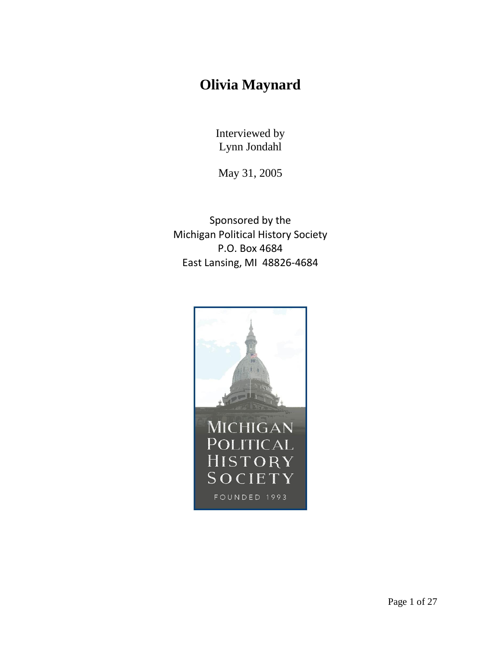## **Olivia Maynard**

Interviewed by Lynn Jondahl

May 31, 2005

Sponsored by the Michigan Political History Society P.O. Box 4684 East Lansing, MI 48826-4684

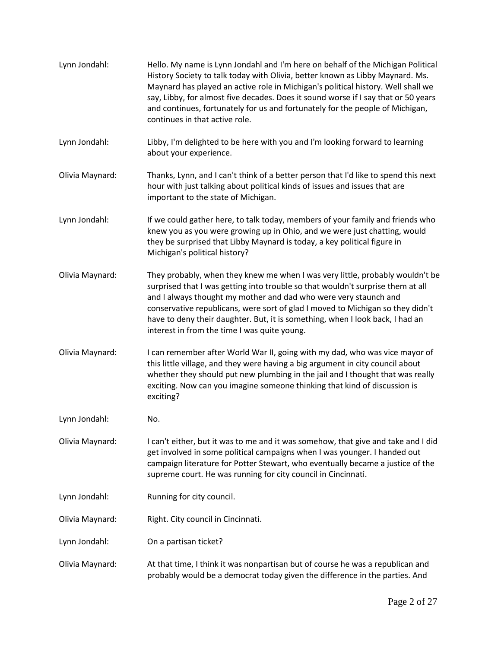| Lynn Jondahl:   | Hello. My name is Lynn Jondahl and I'm here on behalf of the Michigan Political<br>History Society to talk today with Olivia, better known as Libby Maynard. Ms.<br>Maynard has played an active role in Michigan's political history. Well shall we<br>say, Libby, for almost five decades. Does it sound worse if I say that or 50 years<br>and continues, fortunately for us and fortunately for the people of Michigan,<br>continues in that active role. |
|-----------------|---------------------------------------------------------------------------------------------------------------------------------------------------------------------------------------------------------------------------------------------------------------------------------------------------------------------------------------------------------------------------------------------------------------------------------------------------------------|
| Lynn Jondahl:   | Libby, I'm delighted to be here with you and I'm looking forward to learning<br>about your experience.                                                                                                                                                                                                                                                                                                                                                        |
| Olivia Maynard: | Thanks, Lynn, and I can't think of a better person that I'd like to spend this next<br>hour with just talking about political kinds of issues and issues that are<br>important to the state of Michigan.                                                                                                                                                                                                                                                      |
| Lynn Jondahl:   | If we could gather here, to talk today, members of your family and friends who<br>knew you as you were growing up in Ohio, and we were just chatting, would<br>they be surprised that Libby Maynard is today, a key political figure in<br>Michigan's political history?                                                                                                                                                                                      |
| Olivia Maynard: | They probably, when they knew me when I was very little, probably wouldn't be<br>surprised that I was getting into trouble so that wouldn't surprise them at all<br>and I always thought my mother and dad who were very staunch and<br>conservative republicans, were sort of glad I moved to Michigan so they didn't<br>have to deny their daughter. But, it is something, when I look back, I had an<br>interest in from the time I was quite young.       |
| Olivia Maynard: | I can remember after World War II, going with my dad, who was vice mayor of<br>this little village, and they were having a big argument in city council about<br>whether they should put new plumbing in the jail and I thought that was really<br>exciting. Now can you imagine someone thinking that kind of discussion is<br>exciting?                                                                                                                     |
| Lynn Jondahl:   | No.                                                                                                                                                                                                                                                                                                                                                                                                                                                           |
| Olivia Maynard: | I can't either, but it was to me and it was somehow, that give and take and I did<br>get involved in some political campaigns when I was younger. I handed out<br>campaign literature for Potter Stewart, who eventually became a justice of the<br>supreme court. He was running for city council in Cincinnati.                                                                                                                                             |
| Lynn Jondahl:   | Running for city council.                                                                                                                                                                                                                                                                                                                                                                                                                                     |
| Olivia Maynard: | Right. City council in Cincinnati.                                                                                                                                                                                                                                                                                                                                                                                                                            |
| Lynn Jondahl:   | On a partisan ticket?                                                                                                                                                                                                                                                                                                                                                                                                                                         |
| Olivia Maynard: | At that time, I think it was nonpartisan but of course he was a republican and<br>probably would be a democrat today given the difference in the parties. And                                                                                                                                                                                                                                                                                                 |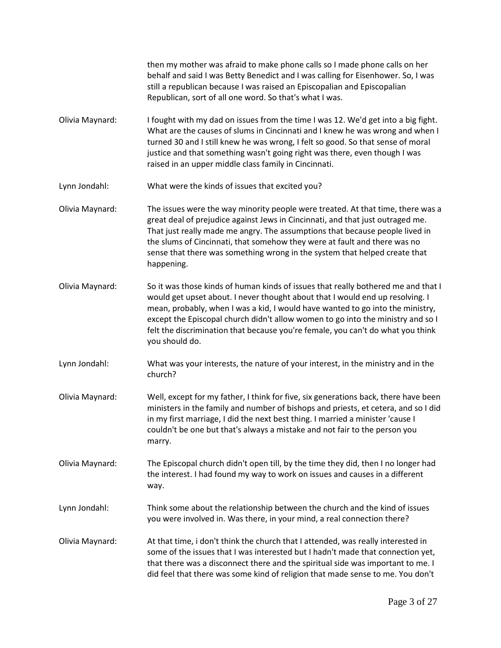|                 | then my mother was afraid to make phone calls so I made phone calls on her<br>behalf and said I was Betty Benedict and I was calling for Eisenhower. So, I was<br>still a republican because I was raised an Episcopalian and Episcopalian<br>Republican, sort of all one word. So that's what I was.                                                                                                                                        |
|-----------------|----------------------------------------------------------------------------------------------------------------------------------------------------------------------------------------------------------------------------------------------------------------------------------------------------------------------------------------------------------------------------------------------------------------------------------------------|
| Olivia Maynard: | I fought with my dad on issues from the time I was 12. We'd get into a big fight.<br>What are the causes of slums in Cincinnati and I knew he was wrong and when I<br>turned 30 and I still knew he was wrong, I felt so good. So that sense of moral<br>justice and that something wasn't going right was there, even though I was<br>raised in an upper middle class family in Cincinnati.                                                 |
| Lynn Jondahl:   | What were the kinds of issues that excited you?                                                                                                                                                                                                                                                                                                                                                                                              |
| Olivia Maynard: | The issues were the way minority people were treated. At that time, there was a<br>great deal of prejudice against Jews in Cincinnati, and that just outraged me.<br>That just really made me angry. The assumptions that because people lived in<br>the slums of Cincinnati, that somehow they were at fault and there was no<br>sense that there was something wrong in the system that helped create that<br>happening.                   |
| Olivia Maynard: | So it was those kinds of human kinds of issues that really bothered me and that I<br>would get upset about. I never thought about that I would end up resolving. I<br>mean, probably, when I was a kid, I would have wanted to go into the ministry,<br>except the Episcopal church didn't allow women to go into the ministry and so I<br>felt the discrimination that because you're female, you can't do what you think<br>you should do. |
| Lynn Jondahl:   | What was your interests, the nature of your interest, in the ministry and in the<br>church?                                                                                                                                                                                                                                                                                                                                                  |
| Olivia Maynard: | Well, except for my father, I think for five, six generations back, there have been<br>ministers in the family and number of bishops and priests, et cetera, and so I did<br>in my first marriage, I did the next best thing. I married a minister 'cause I<br>couldn't be one but that's always a mistake and not fair to the person you                                                                                                    |

[Olivia Maynard:](https://www.rev.com/transcript-editor/Edit?token=7cSVwbn6M3SmRml9uf15BJXByVzeqdyHZyIvMlgWl_5Cl7-PlkBP0kgf9wynrjQMnnRqvyyDx6C3uwen-_4cYpbd-so&loadFrom=DocumentSpeakerNameDeeplink&ts=298.91) The Episcopal church didn't open till, by the time they did, then I no longer had the interest. I had found my way to work on issues and causes in a different way.

marry.

[Lynn Jondahl:](https://www.rev.com/transcript-editor/Edit?token=qCjeO2iqrazRJBadbk45tbXtW4Gd5-OpmnnHPDzvLN9R9Q7kYHbC0GHvnVXhmcaXn3G0Hsrf44s9JNika59C7eS9jUw&loadFrom=DocumentSpeakerNameDeeplink&ts=316.05) Think some about the relationship between the church and the kind of issues you were involved in. Was there, in your mind, a real connection there?

[Olivia Maynard:](https://www.rev.com/transcript-editor/Edit?token=ZxU7F2lCgqoCpmOhdZIo1fmCX-k7rlyJ62wCrVuuEnYpxHL9lMQM3r59ALLsbq8nPLGeL7BQbrAGmrvUvCjpZHsav0s&loadFrom=DocumentSpeakerNameDeeplink&ts=326.03) At that time, i don't think the church that I attended, was really interested in some of the issues that I was interested but I hadn't made that connection yet, that there was a disconnect there and the spiritual side was important to me. I did feel that there was some kind of religion that made sense to me. You don't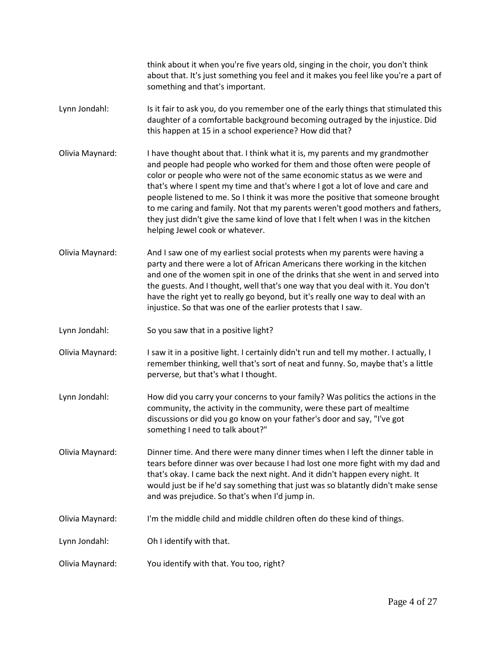|                 | think about it when you're five years old, singing in the choir, you don't think<br>about that. It's just something you feel and it makes you feel like you're a part of<br>something and that's important.                                                                                                                                                                                                                                                                                                                                                                                                        |
|-----------------|--------------------------------------------------------------------------------------------------------------------------------------------------------------------------------------------------------------------------------------------------------------------------------------------------------------------------------------------------------------------------------------------------------------------------------------------------------------------------------------------------------------------------------------------------------------------------------------------------------------------|
| Lynn Jondahl:   | Is it fair to ask you, do you remember one of the early things that stimulated this<br>daughter of a comfortable background becoming outraged by the injustice. Did<br>this happen at 15 in a school experience? How did that?                                                                                                                                                                                                                                                                                                                                                                                     |
| Olivia Maynard: | I have thought about that. I think what it is, my parents and my grandmother<br>and people had people who worked for them and those often were people of<br>color or people who were not of the same economic status as we were and<br>that's where I spent my time and that's where I got a lot of love and care and<br>people listened to me. So I think it was more the positive that someone brought<br>to me caring and family. Not that my parents weren't good mothers and fathers,<br>they just didn't give the same kind of love that I felt when I was in the kitchen<br>helping Jewel cook or whatever. |
| Olivia Maynard: | And I saw one of my earliest social protests when my parents were having a<br>party and there were a lot of African Americans there working in the kitchen<br>and one of the women spit in one of the drinks that she went in and served into<br>the guests. And I thought, well that's one way that you deal with it. You don't<br>have the right yet to really go beyond, but it's really one way to deal with an<br>injustice. So that was one of the earlier protests that I saw.                                                                                                                              |
| Lynn Jondahl:   | So you saw that in a positive light?                                                                                                                                                                                                                                                                                                                                                                                                                                                                                                                                                                               |
| Olivia Maynard: | I saw it in a positive light. I certainly didn't run and tell my mother. I actually, I<br>remember thinking, well that's sort of neat and funny. So, maybe that's a little<br>perverse, but that's what I thought.                                                                                                                                                                                                                                                                                                                                                                                                 |
| Lynn Jondahl:   | How did you carry your concerns to your family? Was politics the actions in the<br>community, the activity in the community, were these part of mealtime<br>discussions or did you go know on your father's door and say, "I've got<br>something I need to talk about?"                                                                                                                                                                                                                                                                                                                                            |
| Olivia Maynard: | Dinner time. And there were many dinner times when I left the dinner table in<br>tears before dinner was over because I had lost one more fight with my dad and<br>that's okay. I came back the next night. And it didn't happen every night. It<br>would just be if he'd say something that just was so blatantly didn't make sense<br>and was prejudice. So that's when I'd jump in.                                                                                                                                                                                                                             |
| Olivia Maynard: | I'm the middle child and middle children often do these kind of things.                                                                                                                                                                                                                                                                                                                                                                                                                                                                                                                                            |
| Lynn Jondahl:   | Oh I identify with that.                                                                                                                                                                                                                                                                                                                                                                                                                                                                                                                                                                                           |
| Olivia Maynard: | You identify with that. You too, right?                                                                                                                                                                                                                                                                                                                                                                                                                                                                                                                                                                            |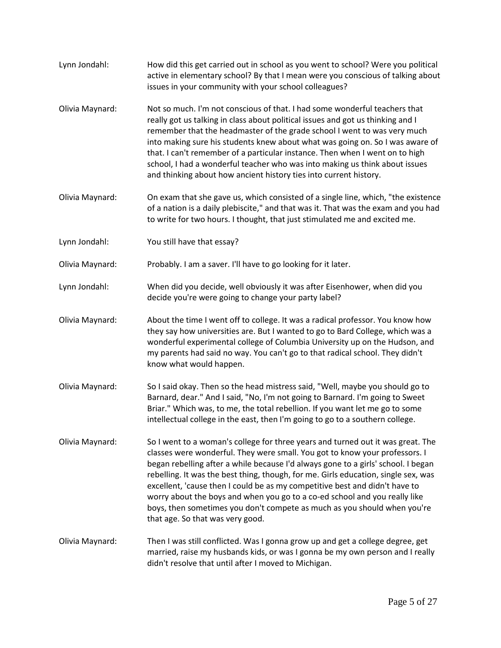[Lynn Jondahl:](https://www.rev.com/transcript-editor/Edit?token=OIYQpWVa0S0bu-CKR4U_8lvlT5Ku99SXLcKC8rL1SO9Ku-f257EI6voH4pPEYRrcjLAMANesZydGjYEAB5g-soYx4OE&loadFrom=DocumentSpeakerNameDeeplink&ts=539.68) How did this get carried out in school as you went to school? Were you political active in elementary school? By that I mean were you conscious of talking about issues in your community with your school colleagues? [Olivia Maynard:](https://www.rev.com/transcript-editor/Edit?token=SmzdyZ5kxx9otxVkhnhoKFfHAJl9fh8TvCbJ9QTrPse8b2gGylStZbJ4oUR7PujK9aQ8qL_yakIxeP5SIuo5wA7sVNA&loadFrom=DocumentSpeakerNameDeeplink&ts=559.59) Not so much. I'm not conscious of that. I had some wonderful teachers that really got us talking in class about political issues and got us thinking and I remember that the headmaster of the grade school I went to was very much into making sure his students knew about what was going on. So I was aware of that. I can't remember of a particular instance. Then when I went on to high school, I had a wonderful teacher who was into making us think about issues and thinking about how ancient history ties into current history. [Olivia Maynard:](https://www.rev.com/transcript-editor/Edit?token=wgQR8YugY9ursiCDR-yLcixcbsM6f96zxemyUYkeii1pD4NFUe5O90BjXLaO1UHgDx3IOXkyTwI1HrbeQMeNxW2x8MU&loadFrom=DocumentSpeakerNameDeeplink&ts=600.19) On exam that she gave us, which consisted of a single line, which, "the existence of a nation is a daily plebiscite," and that was it. That was the exam and you had to write for two hours. I thought, that just stimulated me and excited me. [Lynn Jondahl:](https://www.rev.com/transcript-editor/Edit?token=jYpqfZ8VXydAlf_8gS09u1cFrJYpZ_Yhdz31ulrMxee903mClh2QNpf_m8G28AndVPAJU1hbQqjV82qDUwNK29bGjc4&loadFrom=DocumentSpeakerNameDeeplink&ts=616.52) You still have that essay? [Olivia Maynard:](https://www.rev.com/transcript-editor/Edit?token=Awsudhr8ymG4WcB0Vqt-tNGXMXw-Yks9DvQZJzxAq-1_htmaAbxepC68X2jUPpcktd20nyHbW3De95F9f8WJ_AKv48E&loadFrom=DocumentSpeakerNameDeeplink&ts=617.81) Probably. I am a saver. I'll have to go looking for it later. [Lynn Jondahl:](https://www.rev.com/transcript-editor/Edit?token=AacOx-v3tppGamZgGhEnytPbHq4_b4Hv5BxIGe0_DEQa4MFj0csZxGo91Ci6nTnTFeAJEku8rehOcaZ3LwGSBk9Xlio&loadFrom=DocumentSpeakerNameDeeplink&ts=624.42) When did you decide, well obviously it was after Eisenhower, when did you decide you're were going to change your party label? [Olivia Maynard:](https://www.rev.com/transcript-editor/Edit?token=gtQnWLaM-qT6bSdhiDVG0oZOiJ09LD-3qzC742_FEzICs5fNc2W9NH8i0r_om4mqgagtLbYPxs1w6vAGgL_0z2dBCj8&loadFrom=DocumentSpeakerNameDeeplink&ts=632.01) About the time I went off to college. It was a radical professor. You know how they say how universities are. But I wanted to go to Bard College, which was a wonderful experimental college of Columbia University up on the Hudson, and my parents had said no way. You can't go to that radical school. They didn't know what would happen. [Olivia Maynard:](https://www.rev.com/transcript-editor/Edit?token=MqP3wbKJba5cEi9p7hzqxL0zztvmbNnv9agYwPVCQqYh8JTonArz8cTl_o3bf0SpQA4Wz7GXicC03PsOOxh1FDDnGoQ&loadFrom=DocumentSpeakerNameDeeplink&ts=654.01) So I said okay. Then so the head mistress said, "Well, maybe you should go to Barnard, dear." And I said, "No, I'm not going to Barnard. I'm going to Sweet Briar." Which was, to me, the total rebellion. If you want let me go to some intellectual college in the east, then I'm going to go to a southern college. [Olivia Maynard:](https://www.rev.com/transcript-editor/Edit?token=0piEKIhcmtqzEBKoAZNpZubKDPbvWvHZZmfFroyMiParJ0Y5peY0ZdZbT7gKe0iDF89JjXOA-Fsv59U5ePjN4qtKxy4&loadFrom=DocumentSpeakerNameDeeplink&ts=674.1) So I went to a woman's college for three years and turned out it was great. The classes were wonderful. They were small. You got to know your professors. I began rebelling after a while because I'd always gone to a girls' school. I began rebelling. It was the best thing, though, for me. Girls education, single sex, was excellent, 'cause then I could be as my competitive best and didn't have to worry about the boys and when you go to a co-ed school and you really like boys, then sometimes you don't compete as much as you should when you're that age. So that was very good. [Olivia Maynard:](https://www.rev.com/transcript-editor/Edit?token=h6EFDwMhKmkgXT95yClK19hxeIOKVKvq0LHKpR4I_v6_y1Bi3x5EwdEzQjmdSiNfiowUyyQYuWjw9IaCp80yjVQnpL4&loadFrom=DocumentSpeakerNameDeeplink&ts=709.58) Then I was still conflicted. Was I gonna grow up and get a college degree, get married, raise my husbands kids, or was I gonna be my own person and I really didn't resolve that until after I moved to Michigan.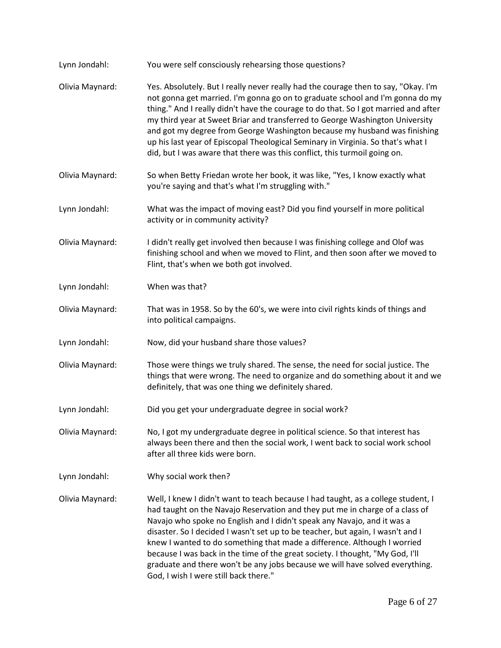| Lynn Jondahl:   | You were self consciously rehearsing those questions?                                                                                                                                                                                                                                                                                                                                                                                                                                                                                                                                                                 |
|-----------------|-----------------------------------------------------------------------------------------------------------------------------------------------------------------------------------------------------------------------------------------------------------------------------------------------------------------------------------------------------------------------------------------------------------------------------------------------------------------------------------------------------------------------------------------------------------------------------------------------------------------------|
| Olivia Maynard: | Yes. Absolutely. But I really never really had the courage then to say, "Okay. I'm<br>not gonna get married. I'm gonna go on to graduate school and I'm gonna do my<br>thing." And I really didn't have the courage to do that. So I got married and after<br>my third year at Sweet Briar and transferred to George Washington University<br>and got my degree from George Washington because my husband was finishing<br>up his last year of Episcopal Theological Seminary in Virginia. So that's what I<br>did, but I was aware that there was this conflict, this turmoil going on.                              |
| Olivia Maynard: | So when Betty Friedan wrote her book, it was like, "Yes, I know exactly what<br>you're saying and that's what I'm struggling with."                                                                                                                                                                                                                                                                                                                                                                                                                                                                                   |
| Lynn Jondahl:   | What was the impact of moving east? Did you find yourself in more political<br>activity or in community activity?                                                                                                                                                                                                                                                                                                                                                                                                                                                                                                     |
| Olivia Maynard: | I didn't really get involved then because I was finishing college and Olof was<br>finishing school and when we moved to Flint, and then soon after we moved to<br>Flint, that's when we both got involved.                                                                                                                                                                                                                                                                                                                                                                                                            |
| Lynn Jondahl:   | When was that?                                                                                                                                                                                                                                                                                                                                                                                                                                                                                                                                                                                                        |
| Olivia Maynard: | That was in 1958. So by the 60's, we were into civil rights kinds of things and<br>into political campaigns.                                                                                                                                                                                                                                                                                                                                                                                                                                                                                                          |
| Lynn Jondahl:   | Now, did your husband share those values?                                                                                                                                                                                                                                                                                                                                                                                                                                                                                                                                                                             |
| Olivia Maynard: | Those were things we truly shared. The sense, the need for social justice. The<br>things that were wrong. The need to organize and do something about it and we<br>definitely, that was one thing we definitely shared.                                                                                                                                                                                                                                                                                                                                                                                               |
| Lynn Jondahl:   | Did you get your undergraduate degree in social work?                                                                                                                                                                                                                                                                                                                                                                                                                                                                                                                                                                 |
| Olivia Maynard: | No, I got my undergraduate degree in political science. So that interest has<br>always been there and then the social work, I went back to social work school<br>after all three kids were born.                                                                                                                                                                                                                                                                                                                                                                                                                      |
| Lynn Jondahl:   | Why social work then?                                                                                                                                                                                                                                                                                                                                                                                                                                                                                                                                                                                                 |
| Olivia Maynard: | Well, I knew I didn't want to teach because I had taught, as a college student, I<br>had taught on the Navajo Reservation and they put me in charge of a class of<br>Navajo who spoke no English and I didn't speak any Navajo, and it was a<br>disaster. So I decided I wasn't set up to be teacher, but again, I wasn't and I<br>knew I wanted to do something that made a difference. Although I worried<br>because I was back in the time of the great society. I thought, "My God, I'll<br>graduate and there won't be any jobs because we will have solved everything.<br>God, I wish I were still back there." |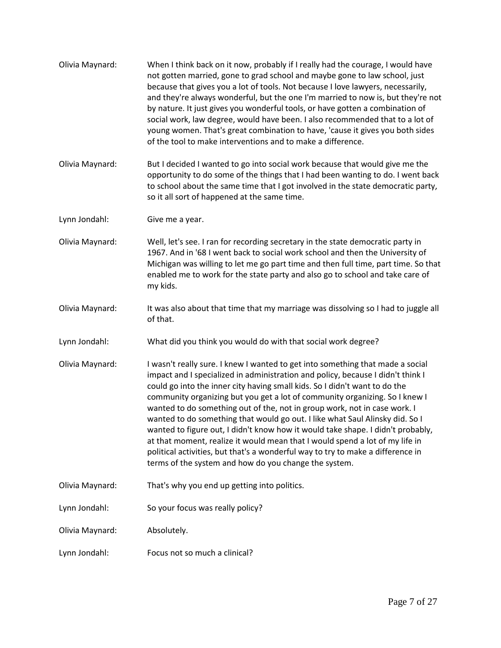| Olivia Maynard: | When I think back on it now, probably if I really had the courage, I would have<br>not gotten married, gone to grad school and maybe gone to law school, just<br>because that gives you a lot of tools. Not because I love lawyers, necessarily,<br>and they're always wonderful, but the one I'm married to now is, but they're not<br>by nature. It just gives you wonderful tools, or have gotten a combination of<br>social work, law degree, would have been. I also recommended that to a lot of<br>young women. That's great combination to have, 'cause it gives you both sides<br>of the tool to make interventions and to make a difference.                                                                                                                                                     |
|-----------------|------------------------------------------------------------------------------------------------------------------------------------------------------------------------------------------------------------------------------------------------------------------------------------------------------------------------------------------------------------------------------------------------------------------------------------------------------------------------------------------------------------------------------------------------------------------------------------------------------------------------------------------------------------------------------------------------------------------------------------------------------------------------------------------------------------|
| Olivia Maynard: | But I decided I wanted to go into social work because that would give me the<br>opportunity to do some of the things that I had been wanting to do. I went back<br>to school about the same time that I got involved in the state democratic party,<br>so it all sort of happened at the same time.                                                                                                                                                                                                                                                                                                                                                                                                                                                                                                        |
| Lynn Jondahl:   | Give me a year.                                                                                                                                                                                                                                                                                                                                                                                                                                                                                                                                                                                                                                                                                                                                                                                            |
| Olivia Maynard: | Well, let's see. I ran for recording secretary in the state democratic party in<br>1967. And in '68 I went back to social work school and then the University of<br>Michigan was willing to let me go part time and then full time, part time. So that<br>enabled me to work for the state party and also go to school and take care of<br>my kids.                                                                                                                                                                                                                                                                                                                                                                                                                                                        |
| Olivia Maynard: | It was also about that time that my marriage was dissolving so I had to juggle all<br>of that.                                                                                                                                                                                                                                                                                                                                                                                                                                                                                                                                                                                                                                                                                                             |
| Lynn Jondahl:   | What did you think you would do with that social work degree?                                                                                                                                                                                                                                                                                                                                                                                                                                                                                                                                                                                                                                                                                                                                              |
| Olivia Maynard: | I wasn't really sure. I knew I wanted to get into something that made a social<br>impact and I specialized in administration and policy, because I didn't think I<br>could go into the inner city having small kids. So I didn't want to do the<br>community organizing but you get a lot of community organizing. So I knew I<br>wanted to do something out of the, not in group work, not in case work. I<br>wanted to do something that would go out. I like what Saul Alinsky did. So I<br>wanted to figure out, I didn't know how it would take shape. I didn't probably,<br>at that moment, realize it would mean that I would spend a lot of my life in<br>political activities, but that's a wonderful way to try to make a difference in<br>terms of the system and how do you change the system. |
| Olivia Maynard: | That's why you end up getting into politics.                                                                                                                                                                                                                                                                                                                                                                                                                                                                                                                                                                                                                                                                                                                                                               |
| Lynn Jondahl:   | So your focus was really policy?                                                                                                                                                                                                                                                                                                                                                                                                                                                                                                                                                                                                                                                                                                                                                                           |
| Olivia Maynard: | Absolutely.                                                                                                                                                                                                                                                                                                                                                                                                                                                                                                                                                                                                                                                                                                                                                                                                |
| Lynn Jondahl:   | Focus not so much a clinical?                                                                                                                                                                                                                                                                                                                                                                                                                                                                                                                                                                                                                                                                                                                                                                              |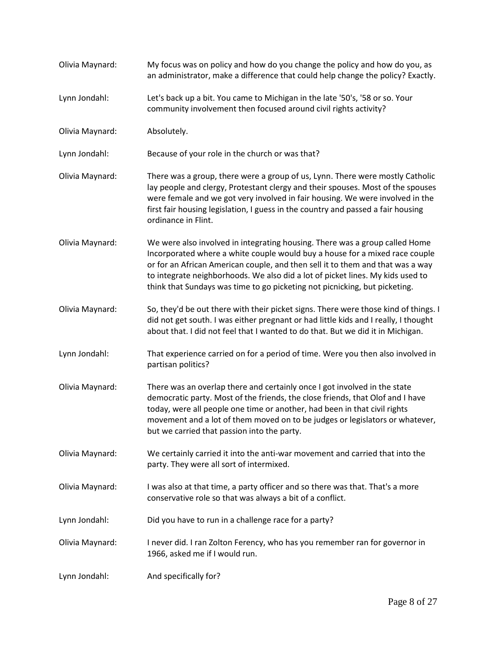| Olivia Maynard: | My focus was on policy and how do you change the policy and how do you, as<br>an administrator, make a difference that could help change the policy? Exactly.                                                                                                                                                                                                                                                |
|-----------------|--------------------------------------------------------------------------------------------------------------------------------------------------------------------------------------------------------------------------------------------------------------------------------------------------------------------------------------------------------------------------------------------------------------|
| Lynn Jondahl:   | Let's back up a bit. You came to Michigan in the late '50's, '58 or so. Your<br>community involvement then focused around civil rights activity?                                                                                                                                                                                                                                                             |
| Olivia Maynard: | Absolutely.                                                                                                                                                                                                                                                                                                                                                                                                  |
| Lynn Jondahl:   | Because of your role in the church or was that?                                                                                                                                                                                                                                                                                                                                                              |
| Olivia Maynard: | There was a group, there were a group of us, Lynn. There were mostly Catholic<br>lay people and clergy, Protestant clergy and their spouses. Most of the spouses<br>were female and we got very involved in fair housing. We were involved in the<br>first fair housing legislation, I guess in the country and passed a fair housing<br>ordinance in Flint.                                                 |
| Olivia Maynard: | We were also involved in integrating housing. There was a group called Home<br>Incorporated where a white couple would buy a house for a mixed race couple<br>or for an African American couple, and then sell it to them and that was a way<br>to integrate neighborhoods. We also did a lot of picket lines. My kids used to<br>think that Sundays was time to go picketing not picnicking, but picketing. |
| Olivia Maynard: | So, they'd be out there with their picket signs. There were those kind of things. I<br>did not get south. I was either pregnant or had little kids and I really, I thought<br>about that. I did not feel that I wanted to do that. But we did it in Michigan.                                                                                                                                                |
| Lynn Jondahl:   | That experience carried on for a period of time. Were you then also involved in<br>partisan politics?                                                                                                                                                                                                                                                                                                        |
| Olivia Maynard: | There was an overlap there and certainly once I got involved in the state<br>democratic party. Most of the friends, the close friends, that Olof and I have<br>today, were all people one time or another, had been in that civil rights<br>movement and a lot of them moved on to be judges or legislators or whatever,<br>but we carried that passion into the party.                                      |
| Olivia Maynard: | We certainly carried it into the anti-war movement and carried that into the<br>party. They were all sort of intermixed.                                                                                                                                                                                                                                                                                     |
| Olivia Maynard: | I was also at that time, a party officer and so there was that. That's a more<br>conservative role so that was always a bit of a conflict.                                                                                                                                                                                                                                                                   |
| Lynn Jondahl:   | Did you have to run in a challenge race for a party?                                                                                                                                                                                                                                                                                                                                                         |
| Olivia Maynard: | I never did. I ran Zolton Ferency, who has you remember ran for governor in<br>1966, asked me if I would run.                                                                                                                                                                                                                                                                                                |
| Lynn Jondahl:   | And specifically for?                                                                                                                                                                                                                                                                                                                                                                                        |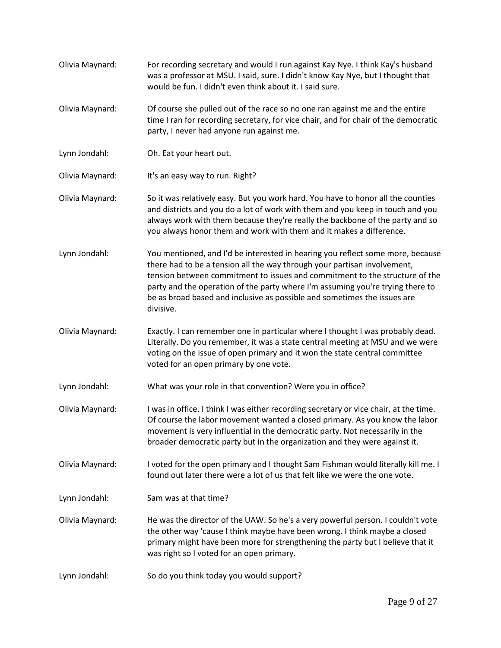- [Olivia Maynard:](https://www.rev.com/transcript-editor/Edit?token=op8m0p7pl5XCTJtHJyrphuqNMLRjAI9aXk3jGcTMi2jG_fK43tmPpIaZEf6zjy3VwH9xU4S04P0anUt1tLBzgxgMAHE&loadFrom=DocumentSpeakerNameDeeplink&ts=1253.39) For recording secretary and would I run against Kay Nye. I think Kay's husband was a professor at MSU. I said, sure. I didn't know Kay Nye, but I thought that would be fun. I didn't even think about it. I said sure.
- [Olivia Maynard:](https://www.rev.com/transcript-editor/Edit?token=Ca7G8RS_KLA7fLv7YPy6MXOvyaRij7QYLgXOhA0m89rRWKuTL9oiY_HDfCPCqMNK35MAUw4YPk9Xp9t2FoPTrFA4S4M&loadFrom=DocumentSpeakerNameDeeplink&ts=1267.31) Of course she pulled out of the race so no one ran against me and the entire time I ran for recording secretary, for vice chair, and for chair of the democratic party, I never had anyone run against me.
- [Lynn Jondahl:](https://www.rev.com/transcript-editor/Edit?token=TxJJEdjzvZJ3OrkY1K8wzapAPeP_HeYVEg_OMZnBwT7yiB2anMPYieQZzNf4kRFfMacrIZFg_--KnDhZHGTMjbqinhE&loadFrom=DocumentSpeakerNameDeeplink&ts=1279.64) Oh. Eat your heart out.
- [Olivia Maynard:](https://www.rev.com/transcript-editor/Edit?token=_zYdIyptkktXOyPStB8dvm9k5gBYiRvWk8rBUWgu1VP489a7B-DPJZ2TkZ6I0dSAoujIqm2diqSXYHRg1N9WpCZX6vc&loadFrom=DocumentSpeakerNameDeeplink&ts=1280.48) It's an easy way to run. Right?
- [Olivia Maynard:](https://www.rev.com/transcript-editor/Edit?token=LVOBqemuTTENZP-S9SyOxuGcynJkrwqbmUpubYtbBZJdmSuzUalXBvMgicY07lWBjCnJQIgO0GD1YxTq8WnaRQf0S2A&loadFrom=DocumentSpeakerNameDeeplink&ts=1284.87) So it was relatively easy. But you work hard. You have to honor all the counties and districts and you do a lot of work with them and you keep in touch and you always work with them because they're really the backbone of the party and so you always honor them and work with them and it makes a difference.
- [Lynn Jondahl:](https://www.rev.com/transcript-editor/Edit?token=ttIEQzHgmLpnYEt-HFBHYjDiX6e7fnb8_6yfmnAznJ08DiIXifHzh860_nyp2SIw4hdWv8nkmct7H91MfryGmIfLVi4&loadFrom=DocumentSpeakerNameDeeplink&ts=1304.95) You mentioned, and I'd be interested in hearing you reflect some more, because there had to be a tension all the way through your partisan involvement, tension between commitment to issues and commitment to the structure of the party and the operation of the party where I'm assuming you're trying there to be as broad based and inclusive as possible and sometimes the issues are divisive.
- [Olivia Maynard:](https://www.rev.com/transcript-editor/Edit?token=RQdl1fLzrlAxLEKaDwueVXjyuM6koQjq4niqRWLdkoElg2TTWabXHkjdNmrpnEUWSgL3RGijJ2K0lx9b1a8bstsvNC8&loadFrom=DocumentSpeakerNameDeeplink&ts=1332.59) Exactly. I can remember one in particular where I thought I was probably dead. Literally. Do you remember, it was a state central meeting at MSU and we were voting on the issue of open primary and it won the state central committee voted for an open primary by one vote.
- [Lynn Jondahl:](https://www.rev.com/transcript-editor/Edit?token=yOowlqymo0PY3IZmO_7I8UZqjvVKZPBKo9X4wRLxGc-iWyg2QGOmyCyJEhjw5vZY39jpCYS6Eu9kvBKpF7IFFIE6KOM&loadFrom=DocumentSpeakerNameDeeplink&ts=1357.2) What was your role in that convention? Were you in office?
- [Olivia Maynard:](https://www.rev.com/transcript-editor/Edit?token=zHSaxh7M7SuCBice-zthjwfKFIP47BMxGqWeI5ldx7-UDEFx647g7EYa4ma5OBQtdZxEcclsPFopr5L0JSOMiF7iccw&loadFrom=DocumentSpeakerNameDeeplink&ts=1360.42) I was in office. I think I was either recording secretary or vice chair, at the time. Of course the labor movement wanted a closed primary. As you know the labor movement is very influential in the democratic party. Not necessarily in the broader democratic party but in the organization and they were against it.
- [Olivia Maynard:](https://www.rev.com/transcript-editor/Edit?token=om9hFg4eF0GdzmDu6mk0qXOiuS7nTtaI5YRdMUkv-ik8TIQX8VzIBbqbDLoXEaWLMRYJntxyLYehr9q1FT2QiX4OVQU&loadFrom=DocumentSpeakerNameDeeplink&ts=1383.52) I voted for the open primary and I thought Sam Fishman would literally kill me. I found out later there were a lot of us that felt like we were the one vote.
- [Lynn Jondahl:](https://www.rev.com/transcript-editor/Edit?token=puRrLjDOia7y1FtgNDpvjmgSLuUxNKHKZglzp6QUaNN-uYTJqGQ4g3BsFxC7V5xlIxI90Eeybzjfa21u4wfqjvNuSXQ&loadFrom=DocumentSpeakerNameDeeplink&ts=1394.71) Sam was at that time?
- [Olivia Maynard:](https://www.rev.com/transcript-editor/Edit?token=bj222P1ru8HPJVhbXff6GLQPJ3FY6c8JRHVwCgUJ-MGWqyR80xbfkROIYieBxsxxe_IdsCrWRRBcPW-pXJbKZK7NAXk&loadFrom=DocumentSpeakerNameDeeplink&ts=1396.11) He was the director of the UAW. So he's a very powerful person. I couldn't vote the other way 'cause I think maybe have been wrong. I think maybe a closed primary might have been more for strengthening the party but I believe that it was right so I voted for an open primary.
- [Lynn Jondahl:](https://www.rev.com/transcript-editor/Edit?token=VP03jIn0x8KTiO3C7bfjIFrYAhNbDmqw_yVAuirUP_Usb4uyASscO24TWbSQxh-9jEJqxNMcwkUuASaDlUfO1bwS_cI&loadFrom=DocumentSpeakerNameDeeplink&ts=1423.05) So do you think today you would support?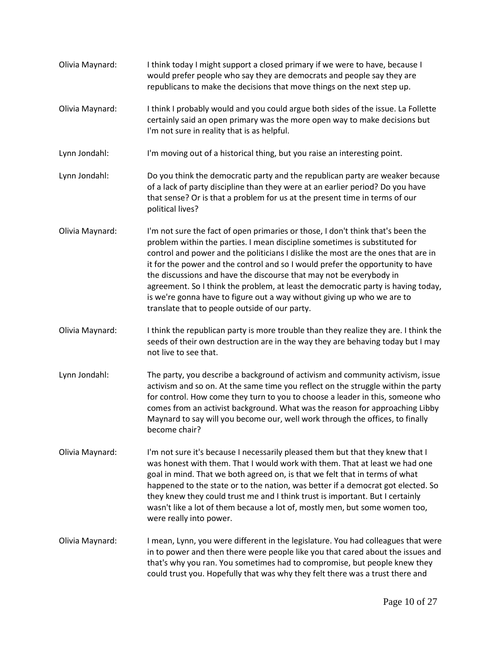[Olivia Maynard:](https://www.rev.com/transcript-editor/Edit?token=xlWfQrdOCgG3sw0pvLU3Uzt5rXPHnEEUE9ty0WxzWjy8dfAwPVkLmfeXH7QxgvH8b7VkWRk4VO51J5chLdxI-BlogoA&loadFrom=DocumentSpeakerNameDeeplink&ts=1427.58) I think today I might support a closed primary if we were to have, because I would prefer people who say they are democrats and people say they are republicans to make the decisions that move things on the next step up. [Olivia Maynard:](https://www.rev.com/transcript-editor/Edit?token=1TkphCA3eJwzpLUcARIqkhxEwbu_tsLOxX1wZIhJggjdPZfKtVrQkfas9CkSS5KGOyzX6SEe-BE-SThsKZFHFoGUsfM&loadFrom=DocumentSpeakerNameDeeplink&ts=1443.8) I think I probably would and you could argue both sides of the issue. La Follette certainly said an open primary was the more open way to make decisions but I'm not sure in reality that is as helpful. [Lynn Jondahl:](https://www.rev.com/transcript-editor/Edit?token=JuAtBsnMmjwX0tnWZ9nuSdz2othHgyPvTN5DGh1u4UDn3oPOopVCCjJZsunMZNuFGkzB1zOgh_DbbrN8033tmj9b9uk&loadFrom=DocumentSpeakerNameDeeplink&ts=1457.92) I'm moving out of a historical thing, but you raise an interesting point. [Lynn Jondahl:](https://www.rev.com/transcript-editor/Edit?token=x_h4xKvpSbePsj4NzRpW4fi5MOyDv0DW3tlpMfxZLp4Z2RydpEEfvmHClCAkDusWYQVg9Ws9In-_9JCm7f8xDe6R1G0&loadFrom=DocumentSpeakerNameDeeplink&ts=1466.33) Do you think the democratic party and the republican party are weaker because of a lack of party discipline than they were at an earlier period? Do you have that sense? Or is that a problem for us at the present time in terms of our political lives? [Olivia Maynard:](https://www.rev.com/transcript-editor/Edit?token=jkMmHTDFz8vsFJWswlvPwGWw0vzMzl1YwoZH3Ozdd0_pQhiQ9bwFw1kPVL3qkSMXY59tLTbGhPVMh2em3J4EGWQVyKM&loadFrom=DocumentSpeakerNameDeeplink&ts=1492.44) I'm not sure the fact of open primaries or those, I don't think that's been the problem within the parties. I mean discipline sometimes is substituted for control and power and the politicians I dislike the most are the ones that are in it for the power and the control and so I would prefer the opportunity to have the discussions and have the discourse that may not be everybody in agreement. So I think the problem, at least the democratic party is having today, is we're gonna have to figure out a way without giving up who we are to translate that to people outside of our party. [Olivia Maynard:](https://www.rev.com/transcript-editor/Edit?token=tG7hMnpki4W8yM0j7NooTW5vVzfeQbeCk_avDaL51s0tkgi6HQ2RkFwV-dX9gMkQhoMzQD7-tO9iy3MhiCCCB-srlU0&loadFrom=DocumentSpeakerNameDeeplink&ts=1541.64) I think the republican party is more trouble than they realize they are. I think the seeds of their own destruction are in the way they are behaving today but I may not live to see that. [Lynn Jondahl:](https://www.rev.com/transcript-editor/Edit?token=4u2m5gPyWnIVVSNJ4_4BGMffhq0e6drx-ufHfaFRcw1c7XMh00voazrApl5FooG49NC-onX-LE_sSnceye4yc_0rbuU&loadFrom=DocumentSpeakerNameDeeplink&ts=1553.45) The party, you describe a background of activism and community activism, issue activism and so on. At the same time you reflect on the struggle within the party for control. How come they turn to you to choose a leader in this, someone who comes from an activist background. What was the reason for approaching Libby Maynard to say will you become our, well work through the offices, to finally become chair? [Olivia Maynard:](https://www.rev.com/transcript-editor/Edit?token=ohTFmdYTHOiO9TJVj72BzjPs3JZeP2dm969bU6t6xp_mD_P2EYTzRrtKgEDqK8jrlZNB-lnYkDpl-5t_W9kJiVGtdBI&loadFrom=DocumentSpeakerNameDeeplink&ts=1599.33) I'm not sure it's because I necessarily pleased them but that they knew that I was honest with them. That I would work with them. That at least we had one goal in mind. That we both agreed on, is that we felt that in terms of what happened to the state or to the nation, was better if a democrat got elected. So they knew they could trust me and I think trust is important. But I certainly wasn't like a lot of them because a lot of, mostly men, but some women too, were really into power. [Olivia Maynard:](https://www.rev.com/transcript-editor/Edit?token=RNcmDQ_Wf10ltyaRjGJ_jNYWovjtTamUDP32VMclCuAdpDzC0BCw0VvKL7tJ7bhApG4zFoM1mb8iwgcd9187zcTa5j0&loadFrom=DocumentSpeakerNameDeeplink&ts=1635.24) I mean, Lynn, you were different in the legislature. You had colleagues that were in to power and then there were people like you that cared about the issues and that's why you ran. You sometimes had to compromise, but people knew they could trust you. Hopefully that was why they felt there was a trust there and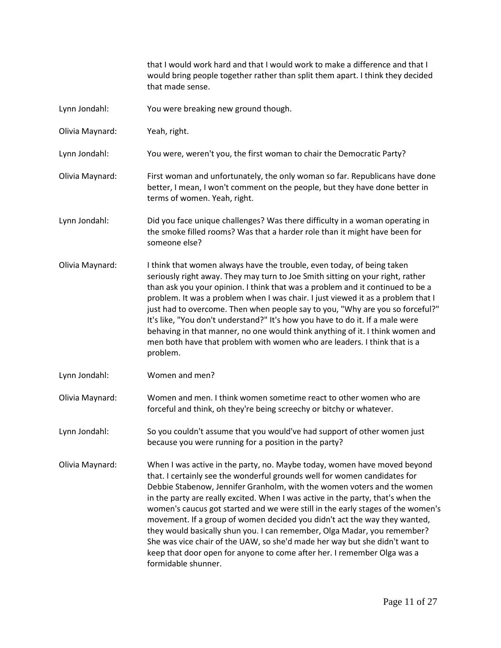that I would work hard and that I would work to make a difference and that I would bring people together rather than split them apart. I think they decided that made sense.

- Lynn Jondahl: You were breaking new ground though.
- Olivia Maynard: Yeah, right.
- Lynn Jondahl: You were, weren't you, the first woman to chair the Democratic Party?
- Olivia Maynard: First woman and unfortunately, the only woman so far. Republicans have done better, I mean, I won't comment on the people, but they have done better in terms of women. Yeah, right.
- Lynn Jondahl: Did you face unique challenges? Was there difficulty in a woman operating in the smoke filled rooms? Was that a harder role than it might have been for someone else?
- Olivia Maynard: I think that women always have the trouble, even today, of being taken seriously right away. They may turn to Joe Smith sitting on your right, rather than ask you your opinion. I think that was a problem and it continued to be a problem. It was a problem when I was chair. I just viewed it as a problem that I just had to overcome. Then when people say to you, "Why are you so forceful?" It's like, "You don't understand?" It's how you have to do it. If a male were behaving in that manner, no one would think anything of it. I think women and men both have that problem with women who are leaders. I think that is a problem.
- Lynn Jondahl: Women and men?
- Olivia Maynard: Women and men. I think women sometime react to other women who are forceful and think, oh they're being screechy or bitchy or whatever.
- Lynn Jondahl: So you couldn't assume that you would've had support of other women just because you were running for a position in the party?
- Olivia Maynard: When I was active in the party, no. Maybe today, women have moved beyond that. I certainly see the wonderful grounds well for women candidates for Debbie Stabenow, Jennifer Granholm, with the women voters and the women in the party are really excited. When I was active in the party, that's when the women's caucus got started and we were still in the early stages of the women's movement. If a group of women decided you didn't act the way they wanted, they would basically shun you. I can remember, Olga Madar, you remember? She was vice chair of the UAW, so she'd made her way but she didn't want to keep that door open for anyone to come after her. I remember Olga was a formidable shunner.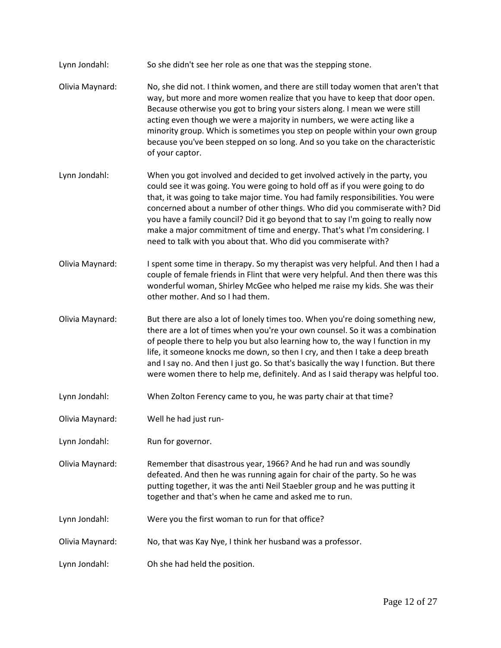- Lynn Jondahl: So she didn't see her role as one that was the stepping stone.
- Olivia Maynard: No, she did not. I think women, and there are still today women that aren't that way, but more and more women realize that you have to keep that door open. Because otherwise you got to bring your sisters along. I mean we were still acting even though we were a majority in numbers, we were acting like a minority group. Which is sometimes you step on people within your own group because you've been stepped on so long. And so you take on the characteristic of your captor.
- Lynn Jondahl: When you got involved and decided to get involved actively in the party, you could see it was going. You were going to hold off as if you were going to do that, it was going to take major time. You had family responsibilities. You were concerned about a number of other things. Who did you commiserate with? Did you have a family council? Did it go beyond that to say I'm going to really now make a major commitment of time and energy. That's what I'm considering. I need to talk with you about that. Who did you commiserate with?
- Olivia Maynard: I spent some time in therapy. So my therapist was very helpful. And then I had a couple of female friends in Flint that were very helpful. And then there was this wonderful woman, Shirley McGee who helped me raise my kids. She was their other mother. And so I had them.
- Olivia Maynard: But there are also a lot of lonely times too. When you're doing something new, there are a lot of times when you're your own counsel. So it was a combination of people there to help you but also learning how to, the way I function in my life, it someone knocks me down, so then I cry, and then I take a deep breath and I say no. And then I just go. So that's basically the way I function. But there were women there to help me, definitely. And as I said therapy was helpful too.
- Lynn Jondahl: When Zolton Ferency came to you, he was party chair at that time?
- Olivia Maynard: Well he had just run-
- Lynn Jondahl: Run for governor.
- Olivia Maynard: Remember that disastrous year, 1966? And he had run and was soundly defeated. And then he was running again for chair of the party. So he was putting together, it was the anti Neil Staebler group and he was putting it together and that's when he came and asked me to run.
- Lynn Jondahl: Were you the first woman to run for that office?
- Olivia Maynard: No, that was Kay Nye, I think her husband was a professor.
- Lynn Jondahl: Oh she had held the position.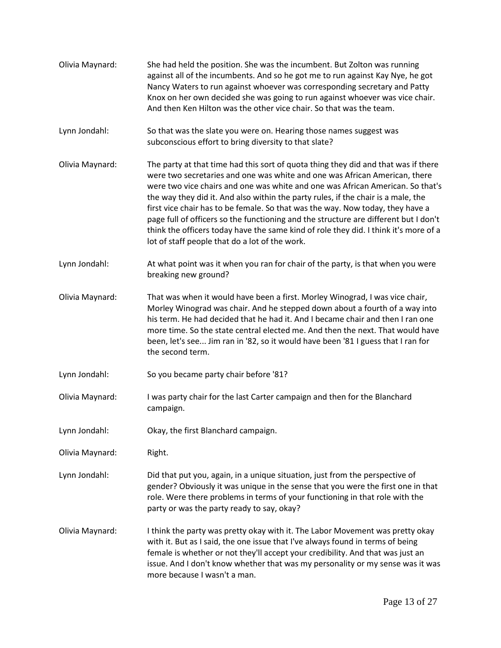| Olivia Maynard: | She had held the position. She was the incumbent. But Zolton was running<br>against all of the incumbents. And so he got me to run against Kay Nye, he got<br>Nancy Waters to run against whoever was corresponding secretary and Patty<br>Knox on her own decided she was going to run against whoever was vice chair.<br>And then Ken Hilton was the other vice chair. So that was the team.                                                                                                                                                                                                                                                              |
|-----------------|-------------------------------------------------------------------------------------------------------------------------------------------------------------------------------------------------------------------------------------------------------------------------------------------------------------------------------------------------------------------------------------------------------------------------------------------------------------------------------------------------------------------------------------------------------------------------------------------------------------------------------------------------------------|
| Lynn Jondahl:   | So that was the slate you were on. Hearing those names suggest was<br>subconscious effort to bring diversity to that slate?                                                                                                                                                                                                                                                                                                                                                                                                                                                                                                                                 |
| Olivia Maynard: | The party at that time had this sort of quota thing they did and that was if there<br>were two secretaries and one was white and one was African American, there<br>were two vice chairs and one was white and one was African American. So that's<br>the way they did it. And also within the party rules, if the chair is a male, the<br>first vice chair has to be female. So that was the way. Now today, they have a<br>page full of officers so the functioning and the structure are different but I don't<br>think the officers today have the same kind of role they did. I think it's more of a<br>lot of staff people that do a lot of the work. |
| Lynn Jondahl:   | At what point was it when you ran for chair of the party, is that when you were<br>breaking new ground?                                                                                                                                                                                                                                                                                                                                                                                                                                                                                                                                                     |
| Olivia Maynard: | That was when it would have been a first. Morley Winograd, I was vice chair,<br>Morley Winograd was chair. And he stepped down about a fourth of a way into<br>his term. He had decided that he had it. And I became chair and then I ran one<br>more time. So the state central elected me. And then the next. That would have<br>been, let's see Jim ran in '82, so it would have been '81 I guess that I ran for<br>the second term.                                                                                                                                                                                                                     |
| Lynn Jondahl:   | So you became party chair before '81?                                                                                                                                                                                                                                                                                                                                                                                                                                                                                                                                                                                                                       |
| Olivia Maynard: | I was party chair for the last Carter campaign and then for the Blanchard<br>campaign.                                                                                                                                                                                                                                                                                                                                                                                                                                                                                                                                                                      |
| Lynn Jondahl:   | Okay, the first Blanchard campaign.                                                                                                                                                                                                                                                                                                                                                                                                                                                                                                                                                                                                                         |
| Olivia Maynard: | Right.                                                                                                                                                                                                                                                                                                                                                                                                                                                                                                                                                                                                                                                      |
| Lynn Jondahl:   | Did that put you, again, in a unique situation, just from the perspective of<br>gender? Obviously it was unique in the sense that you were the first one in that<br>role. Were there problems in terms of your functioning in that role with the<br>party or was the party ready to say, okay?                                                                                                                                                                                                                                                                                                                                                              |
| Olivia Maynard: | I think the party was pretty okay with it. The Labor Movement was pretty okay<br>with it. But as I said, the one issue that I've always found in terms of being<br>female is whether or not they'll accept your credibility. And that was just an<br>issue. And I don't know whether that was my personality or my sense was it was<br>more because I wasn't a man.                                                                                                                                                                                                                                                                                         |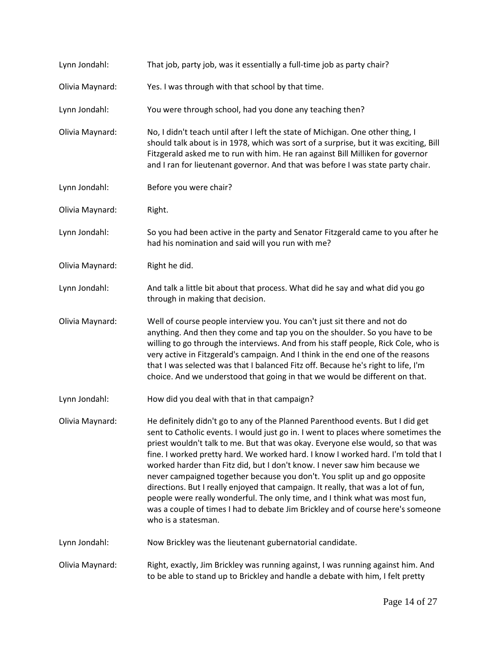| Lynn Jondahl:   | That job, party job, was it essentially a full-time job as party chair?                                                                                                                                                                                                                                                                                                                                                                                                                                                                                                                                                                                                                                                                                                             |
|-----------------|-------------------------------------------------------------------------------------------------------------------------------------------------------------------------------------------------------------------------------------------------------------------------------------------------------------------------------------------------------------------------------------------------------------------------------------------------------------------------------------------------------------------------------------------------------------------------------------------------------------------------------------------------------------------------------------------------------------------------------------------------------------------------------------|
| Olivia Maynard: | Yes. I was through with that school by that time.                                                                                                                                                                                                                                                                                                                                                                                                                                                                                                                                                                                                                                                                                                                                   |
| Lynn Jondahl:   | You were through school, had you done any teaching then?                                                                                                                                                                                                                                                                                                                                                                                                                                                                                                                                                                                                                                                                                                                            |
| Olivia Maynard: | No, I didn't teach until after I left the state of Michigan. One other thing, I<br>should talk about is in 1978, which was sort of a surprise, but it was exciting, Bill<br>Fitzgerald asked me to run with him. He ran against Bill Milliken for governor<br>and I ran for lieutenant governor. And that was before I was state party chair.                                                                                                                                                                                                                                                                                                                                                                                                                                       |
| Lynn Jondahl:   | Before you were chair?                                                                                                                                                                                                                                                                                                                                                                                                                                                                                                                                                                                                                                                                                                                                                              |
| Olivia Maynard: | Right.                                                                                                                                                                                                                                                                                                                                                                                                                                                                                                                                                                                                                                                                                                                                                                              |
| Lynn Jondahl:   | So you had been active in the party and Senator Fitzgerald came to you after he<br>had his nomination and said will you run with me?                                                                                                                                                                                                                                                                                                                                                                                                                                                                                                                                                                                                                                                |
| Olivia Maynard: | Right he did.                                                                                                                                                                                                                                                                                                                                                                                                                                                                                                                                                                                                                                                                                                                                                                       |
| Lynn Jondahl:   | And talk a little bit about that process. What did he say and what did you go<br>through in making that decision.                                                                                                                                                                                                                                                                                                                                                                                                                                                                                                                                                                                                                                                                   |
| Olivia Maynard: | Well of course people interview you. You can't just sit there and not do<br>anything. And then they come and tap you on the shoulder. So you have to be<br>willing to go through the interviews. And from his staff people, Rick Cole, who is<br>very active in Fitzgerald's campaign. And I think in the end one of the reasons<br>that I was selected was that I balanced Fitz off. Because he's right to life, I'm<br>choice. And we understood that going in that we would be different on that.                                                                                                                                                                                                                                                                                |
| Lynn Jondahl:   | How did you deal with that in that campaign?                                                                                                                                                                                                                                                                                                                                                                                                                                                                                                                                                                                                                                                                                                                                        |
| Olivia Maynard: | He definitely didn't go to any of the Planned Parenthood events. But I did get<br>sent to Catholic events. I would just go in. I went to places where sometimes the<br>priest wouldn't talk to me. But that was okay. Everyone else would, so that was<br>fine. I worked pretty hard. We worked hard. I know I worked hard. I'm told that I<br>worked harder than Fitz did, but I don't know. I never saw him because we<br>never campaigned together because you don't. You split up and go opposite<br>directions. But I really enjoyed that campaign. It really, that was a lot of fun,<br>people were really wonderful. The only time, and I think what was most fun,<br>was a couple of times I had to debate Jim Brickley and of course here's someone<br>who is a statesman. |
| Lynn Jondahl:   | Now Brickley was the lieutenant gubernatorial candidate.                                                                                                                                                                                                                                                                                                                                                                                                                                                                                                                                                                                                                                                                                                                            |
| Olivia Maynard: | Right, exactly, Jim Brickley was running against, I was running against him. And<br>to be able to stand up to Brickley and handle a debate with him, I felt pretty                                                                                                                                                                                                                                                                                                                                                                                                                                                                                                                                                                                                                  |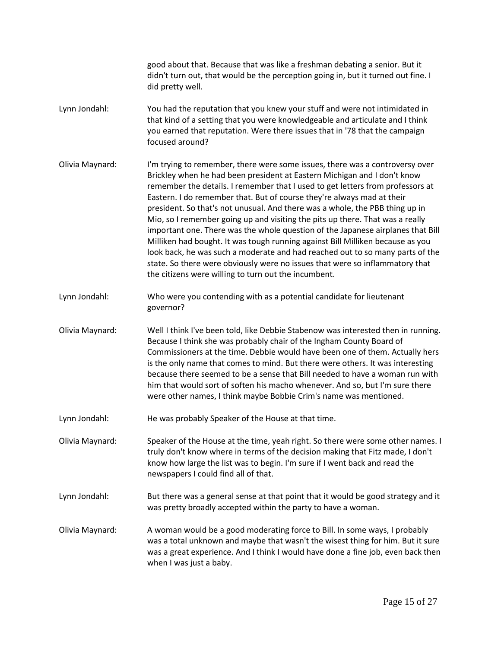|                 | good about that. Because that was like a freshman debating a senior. But it<br>didn't turn out, that would be the perception going in, but it turned out fine. I<br>did pretty well.                                                                                                                                                                                                                                                                                                                                                                                                                                                                                                                                                                                                                                                                                                |
|-----------------|-------------------------------------------------------------------------------------------------------------------------------------------------------------------------------------------------------------------------------------------------------------------------------------------------------------------------------------------------------------------------------------------------------------------------------------------------------------------------------------------------------------------------------------------------------------------------------------------------------------------------------------------------------------------------------------------------------------------------------------------------------------------------------------------------------------------------------------------------------------------------------------|
| Lynn Jondahl:   | You had the reputation that you knew your stuff and were not intimidated in<br>that kind of a setting that you were knowledgeable and articulate and I think<br>you earned that reputation. Were there issues that in '78 that the campaign<br>focused around?                                                                                                                                                                                                                                                                                                                                                                                                                                                                                                                                                                                                                      |
| Olivia Maynard: | I'm trying to remember, there were some issues, there was a controversy over<br>Brickley when he had been president at Eastern Michigan and I don't know<br>remember the details. I remember that I used to get letters from professors at<br>Eastern. I do remember that. But of course they're always mad at their<br>president. So that's not unusual. And there was a whole, the PBB thing up in<br>Mio, so I remember going up and visiting the pits up there. That was a really<br>important one. There was the whole question of the Japanese airplanes that Bill<br>Milliken had bought. It was tough running against Bill Milliken because as you<br>look back, he was such a moderate and had reached out to so many parts of the<br>state. So there were obviously were no issues that were so inflammatory that<br>the citizens were willing to turn out the incumbent. |
| Lynn Jondahl:   | Who were you contending with as a potential candidate for lieutenant<br>governor?                                                                                                                                                                                                                                                                                                                                                                                                                                                                                                                                                                                                                                                                                                                                                                                                   |
| Olivia Maynard: | Well I think I've been told, like Debbie Stabenow was interested then in running.<br>Because I think she was probably chair of the Ingham County Board of<br>Commissioners at the time. Debbie would have been one of them. Actually hers<br>is the only name that comes to mind. But there were others. It was interesting<br>because there seemed to be a sense that Bill needed to have a woman run with<br>him that would sort of soften his macho whenever. And so, but I'm sure there<br>were other names, I think maybe Bobbie Crim's name was mentioned.                                                                                                                                                                                                                                                                                                                    |
| Lynn Jondahl:   | He was probably Speaker of the House at that time.                                                                                                                                                                                                                                                                                                                                                                                                                                                                                                                                                                                                                                                                                                                                                                                                                                  |
| Olivia Maynard: | Speaker of the House at the time, yeah right. So there were some other names. I<br>truly don't know where in terms of the decision making that Fitz made, I don't<br>know how large the list was to begin. I'm sure if I went back and read the<br>newspapers I could find all of that.                                                                                                                                                                                                                                                                                                                                                                                                                                                                                                                                                                                             |
| Lynn Jondahl:   | But there was a general sense at that point that it would be good strategy and it<br>was pretty broadly accepted within the party to have a woman.                                                                                                                                                                                                                                                                                                                                                                                                                                                                                                                                                                                                                                                                                                                                  |
| Olivia Maynard: | A woman would be a good moderating force to Bill. In some ways, I probably<br>was a total unknown and maybe that wasn't the wisest thing for him. But it sure<br>was a great experience. And I think I would have done a fine job, even back then<br>when I was just a baby.                                                                                                                                                                                                                                                                                                                                                                                                                                                                                                                                                                                                        |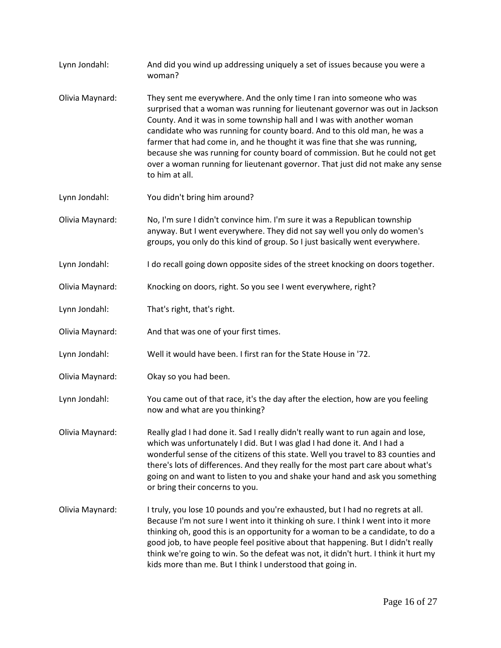Lynn Jondahl: And did you wind up addressing uniquely a set of issues because you were a woman? Olivia Maynard: They sent me everywhere. And the only time I ran into someone who was surprised that a woman was running for lieutenant governor was out in Jackson County. And it was in some township hall and I was with another woman candidate who was running for county board. And to this old man, he was a farmer that had come in, and he thought it was fine that she was running, because she was running for county board of commission. But he could not get over a woman running for lieutenant governor. That just did not make any sense to him at all. Lynn Jondahl: You didn't bring him around? Olivia Maynard: No, I'm sure I didn't convince him. I'm sure it was a Republican township anyway. But I went everywhere. They did not say well you only do women's groups, you only do this kind of group. So I just basically went everywhere. Lynn Jondahl: I do recall going down opposite sides of the street knocking on doors together. Olivia Maynard: Knocking on doors, right. So you see I went everywhere, right? Lynn Jondahl: That's right, that's right. Olivia Maynard: And that was one of your first times. Lynn Jondahl: Well it would have been. I first ran for the State House in '72. Olivia Maynard: Okay so you had been. Lynn Jondahl: You came out of that race, it's the day after the election, how are you feeling now and what are you thinking? Olivia Maynard: Really glad I had done it. Sad I really didn't really want to run again and lose, which was unfortunately I did. But I was glad I had done it. And I had a wonderful sense of the citizens of this state. Well you travel to 83 counties and there's lots of differences. And they really for the most part care about what's going on and want to listen to you and shake your hand and ask you something or bring their concerns to you. Olivia Maynard: I truly, you lose 10 pounds and you're exhausted, but I had no regrets at all. Because I'm not sure I went into it thinking oh sure. I think I went into it more thinking oh, good this is an opportunity for a woman to be a candidate, to do a good job, to have people feel positive about that happening. But I didn't really think we're going to win. So the defeat was not, it didn't hurt. I think it hurt my kids more than me. But I think I understood that going in.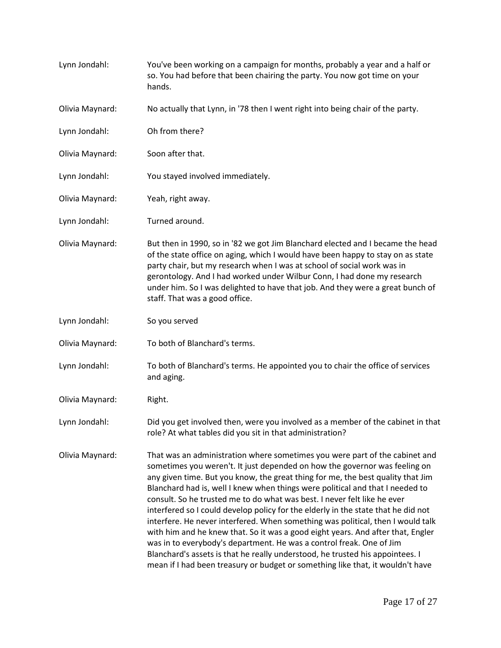| Lynn Jondahl:   | You've been working on a campaign for months, probably a year and a half or<br>so. You had before that been chairing the party. You now got time on your<br>hands.                                                                                                                                                                                                                                                                                                                                                                                                                                                                                                                                                                                                                                                                                                                                              |
|-----------------|-----------------------------------------------------------------------------------------------------------------------------------------------------------------------------------------------------------------------------------------------------------------------------------------------------------------------------------------------------------------------------------------------------------------------------------------------------------------------------------------------------------------------------------------------------------------------------------------------------------------------------------------------------------------------------------------------------------------------------------------------------------------------------------------------------------------------------------------------------------------------------------------------------------------|
| Olivia Maynard: | No actually that Lynn, in '78 then I went right into being chair of the party.                                                                                                                                                                                                                                                                                                                                                                                                                                                                                                                                                                                                                                                                                                                                                                                                                                  |
| Lynn Jondahl:   | Oh from there?                                                                                                                                                                                                                                                                                                                                                                                                                                                                                                                                                                                                                                                                                                                                                                                                                                                                                                  |
| Olivia Maynard: | Soon after that.                                                                                                                                                                                                                                                                                                                                                                                                                                                                                                                                                                                                                                                                                                                                                                                                                                                                                                |
| Lynn Jondahl:   | You stayed involved immediately.                                                                                                                                                                                                                                                                                                                                                                                                                                                                                                                                                                                                                                                                                                                                                                                                                                                                                |
| Olivia Maynard: | Yeah, right away.                                                                                                                                                                                                                                                                                                                                                                                                                                                                                                                                                                                                                                                                                                                                                                                                                                                                                               |
| Lynn Jondahl:   | Turned around.                                                                                                                                                                                                                                                                                                                                                                                                                                                                                                                                                                                                                                                                                                                                                                                                                                                                                                  |
| Olivia Maynard: | But then in 1990, so in '82 we got Jim Blanchard elected and I became the head<br>of the state office on aging, which I would have been happy to stay on as state<br>party chair, but my research when I was at school of social work was in<br>gerontology. And I had worked under Wilbur Conn, I had done my research<br>under him. So I was delighted to have that job. And they were a great bunch of<br>staff. That was a good office.                                                                                                                                                                                                                                                                                                                                                                                                                                                                     |
| Lynn Jondahl:   | So you served                                                                                                                                                                                                                                                                                                                                                                                                                                                                                                                                                                                                                                                                                                                                                                                                                                                                                                   |
| Olivia Maynard: | To both of Blanchard's terms.                                                                                                                                                                                                                                                                                                                                                                                                                                                                                                                                                                                                                                                                                                                                                                                                                                                                                   |
| Lynn Jondahl:   | To both of Blanchard's terms. He appointed you to chair the office of services<br>and aging.                                                                                                                                                                                                                                                                                                                                                                                                                                                                                                                                                                                                                                                                                                                                                                                                                    |
| Olivia Maynard: | Right.                                                                                                                                                                                                                                                                                                                                                                                                                                                                                                                                                                                                                                                                                                                                                                                                                                                                                                          |
| Lynn Jondahl:   | Did you get involved then, were you involved as a member of the cabinet in that<br>role? At what tables did you sit in that administration?                                                                                                                                                                                                                                                                                                                                                                                                                                                                                                                                                                                                                                                                                                                                                                     |
| Olivia Maynard: | That was an administration where sometimes you were part of the cabinet and<br>sometimes you weren't. It just depended on how the governor was feeling on<br>any given time. But you know, the great thing for me, the best quality that Jim<br>Blanchard had is, well I knew when things were political and that I needed to<br>consult. So he trusted me to do what was best. I never felt like he ever<br>interfered so I could develop policy for the elderly in the state that he did not<br>interfere. He never interfered. When something was political, then I would talk<br>with him and he knew that. So it was a good eight years. And after that, Engler<br>was in to everybody's department. He was a control freak. One of Jim<br>Blanchard's assets is that he really understood, he trusted his appointees. I<br>mean if I had been treasury or budget or something like that, it wouldn't have |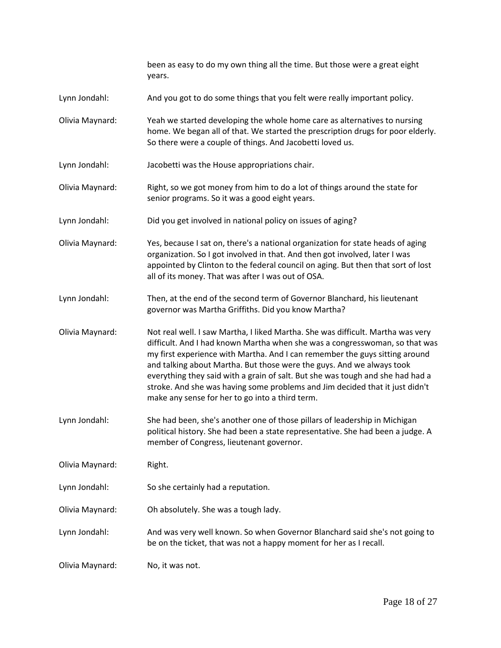|                 | been as easy to do my own thing all the time. But those were a great eight<br>years.                                                                                                                                                                                                                                                                                                                                                                                                                                                        |
|-----------------|---------------------------------------------------------------------------------------------------------------------------------------------------------------------------------------------------------------------------------------------------------------------------------------------------------------------------------------------------------------------------------------------------------------------------------------------------------------------------------------------------------------------------------------------|
| Lynn Jondahl:   | And you got to do some things that you felt were really important policy.                                                                                                                                                                                                                                                                                                                                                                                                                                                                   |
| Olivia Maynard: | Yeah we started developing the whole home care as alternatives to nursing<br>home. We began all of that. We started the prescription drugs for poor elderly.<br>So there were a couple of things. And Jacobetti loved us.                                                                                                                                                                                                                                                                                                                   |
| Lynn Jondahl:   | Jacobetti was the House appropriations chair.                                                                                                                                                                                                                                                                                                                                                                                                                                                                                               |
| Olivia Maynard: | Right, so we got money from him to do a lot of things around the state for<br>senior programs. So it was a good eight years.                                                                                                                                                                                                                                                                                                                                                                                                                |
| Lynn Jondahl:   | Did you get involved in national policy on issues of aging?                                                                                                                                                                                                                                                                                                                                                                                                                                                                                 |
| Olivia Maynard: | Yes, because I sat on, there's a national organization for state heads of aging<br>organization. So I got involved in that. And then got involved, later I was<br>appointed by Clinton to the federal council on aging. But then that sort of lost<br>all of its money. That was after I was out of OSA.                                                                                                                                                                                                                                    |
| Lynn Jondahl:   | Then, at the end of the second term of Governor Blanchard, his lieutenant<br>governor was Martha Griffiths. Did you know Martha?                                                                                                                                                                                                                                                                                                                                                                                                            |
| Olivia Maynard: | Not real well. I saw Martha, I liked Martha. She was difficult. Martha was very<br>difficult. And I had known Martha when she was a congresswoman, so that was<br>my first experience with Martha. And I can remember the guys sitting around<br>and talking about Martha. But those were the guys. And we always took<br>everything they said with a grain of salt. But she was tough and she had had a<br>stroke. And she was having some problems and Jim decided that it just didn't<br>make any sense for her to go into a third term. |
| Lynn Jondahl:   | She had been, she's another one of those pillars of leadership in Michigan<br>political history. She had been a state representative. She had been a judge. A<br>member of Congress, lieutenant governor.                                                                                                                                                                                                                                                                                                                                   |
| Olivia Maynard: | Right.                                                                                                                                                                                                                                                                                                                                                                                                                                                                                                                                      |
| Lynn Jondahl:   | So she certainly had a reputation.                                                                                                                                                                                                                                                                                                                                                                                                                                                                                                          |
| Olivia Maynard: | Oh absolutely. She was a tough lady.                                                                                                                                                                                                                                                                                                                                                                                                                                                                                                        |
| Lynn Jondahl:   | And was very well known. So when Governor Blanchard said she's not going to<br>be on the ticket, that was not a happy moment for her as I recall.                                                                                                                                                                                                                                                                                                                                                                                           |
| Olivia Maynard: | No, it was not.                                                                                                                                                                                                                                                                                                                                                                                                                                                                                                                             |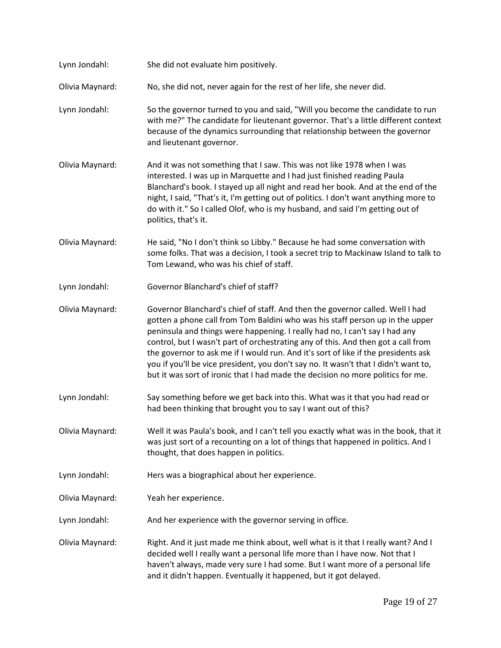| Lynn Jondahl:   | She did not evaluate him positively.                                                                                                                                                                                                                                                                                                                                                                                                                                                                                                                                                               |
|-----------------|----------------------------------------------------------------------------------------------------------------------------------------------------------------------------------------------------------------------------------------------------------------------------------------------------------------------------------------------------------------------------------------------------------------------------------------------------------------------------------------------------------------------------------------------------------------------------------------------------|
| Olivia Maynard: | No, she did not, never again for the rest of her life, she never did.                                                                                                                                                                                                                                                                                                                                                                                                                                                                                                                              |
| Lynn Jondahl:   | So the governor turned to you and said, "Will you become the candidate to run<br>with me?" The candidate for lieutenant governor. That's a little different context<br>because of the dynamics surrounding that relationship between the governor<br>and lieutenant governor.                                                                                                                                                                                                                                                                                                                      |
| Olivia Maynard: | And it was not something that I saw. This was not like 1978 when I was<br>interested. I was up in Marquette and I had just finished reading Paula<br>Blanchard's book. I stayed up all night and read her book. And at the end of the<br>night, I said, "That's it, I'm getting out of politics. I don't want anything more to<br>do with it." So I called Olof, who is my husband, and said I'm getting out of<br>politics, that's it.                                                                                                                                                            |
| Olivia Maynard: | He said, "No I don't think so Libby." Because he had some conversation with<br>some folks. That was a decision, I took a secret trip to Mackinaw Island to talk to<br>Tom Lewand, who was his chief of staff.                                                                                                                                                                                                                                                                                                                                                                                      |
| Lynn Jondahl:   | Governor Blanchard's chief of staff?                                                                                                                                                                                                                                                                                                                                                                                                                                                                                                                                                               |
| Olivia Maynard: | Governor Blanchard's chief of staff. And then the governor called. Well I had<br>gotten a phone call from Tom Baldini who was his staff person up in the upper<br>peninsula and things were happening. I really had no, I can't say I had any<br>control, but I wasn't part of orchestrating any of this. And then got a call from<br>the governor to ask me if I would run. And it's sort of like if the presidents ask<br>you if you'll be vice president, you don't say no. It wasn't that I didn't want to,<br>but it was sort of ironic that I had made the decision no more politics for me. |
| Lynn Jondahl:   | Say something before we get back into this. What was it that you had read or<br>had been thinking that brought you to say I want out of this?                                                                                                                                                                                                                                                                                                                                                                                                                                                      |
| Olivia Maynard: | Well it was Paula's book, and I can't tell you exactly what was in the book, that it<br>was just sort of a recounting on a lot of things that happened in politics. And I<br>thought, that does happen in politics.                                                                                                                                                                                                                                                                                                                                                                                |
| Lynn Jondahl:   | Hers was a biographical about her experience.                                                                                                                                                                                                                                                                                                                                                                                                                                                                                                                                                      |
| Olivia Maynard: | Yeah her experience.                                                                                                                                                                                                                                                                                                                                                                                                                                                                                                                                                                               |
| Lynn Jondahl:   | And her experience with the governor serving in office.                                                                                                                                                                                                                                                                                                                                                                                                                                                                                                                                            |
| Olivia Maynard: | Right. And it just made me think about, well what is it that I really want? And I<br>decided well I really want a personal life more than I have now. Not that I<br>haven't always, made very sure I had some. But I want more of a personal life<br>and it didn't happen. Eventually it happened, but it got delayed.                                                                                                                                                                                                                                                                             |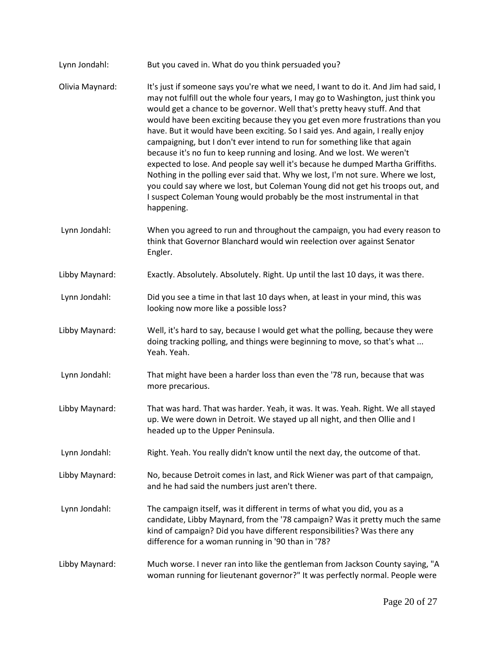| Lynn Jondahl:   | But you caved in. What do you think persuaded you?                                                                                                                                                                                                                                                                                                                                                                                                                                                                                                                                                                                                                                                                                                                                                                                                                                                                                  |
|-----------------|-------------------------------------------------------------------------------------------------------------------------------------------------------------------------------------------------------------------------------------------------------------------------------------------------------------------------------------------------------------------------------------------------------------------------------------------------------------------------------------------------------------------------------------------------------------------------------------------------------------------------------------------------------------------------------------------------------------------------------------------------------------------------------------------------------------------------------------------------------------------------------------------------------------------------------------|
| Olivia Maynard: | It's just if someone says you're what we need, I want to do it. And Jim had said, I<br>may not fulfill out the whole four years, I may go to Washington, just think you<br>would get a chance to be governor. Well that's pretty heavy stuff. And that<br>would have been exciting because they you get even more frustrations than you<br>have. But it would have been exciting. So I said yes. And again, I really enjoy<br>campaigning, but I don't ever intend to run for something like that again<br>because it's no fun to keep running and losing. And we lost. We weren't<br>expected to lose. And people say well it's because he dumped Martha Griffiths.<br>Nothing in the polling ever said that. Why we lost, I'm not sure. Where we lost,<br>you could say where we lost, but Coleman Young did not get his troops out, and<br>I suspect Coleman Young would probably be the most instrumental in that<br>happening. |
| Lynn Jondahl:   | When you agreed to run and throughout the campaign, you had every reason to<br>think that Governor Blanchard would win reelection over against Senator<br>Engler.                                                                                                                                                                                                                                                                                                                                                                                                                                                                                                                                                                                                                                                                                                                                                                   |
| Libby Maynard:  | Exactly. Absolutely. Absolutely. Right. Up until the last 10 days, it was there.                                                                                                                                                                                                                                                                                                                                                                                                                                                                                                                                                                                                                                                                                                                                                                                                                                                    |
| Lynn Jondahl:   | Did you see a time in that last 10 days when, at least in your mind, this was<br>looking now more like a possible loss?                                                                                                                                                                                                                                                                                                                                                                                                                                                                                                                                                                                                                                                                                                                                                                                                             |
| Libby Maynard:  | Well, it's hard to say, because I would get what the polling, because they were<br>doing tracking polling, and things were beginning to move, so that's what<br>Yeah. Yeah.                                                                                                                                                                                                                                                                                                                                                                                                                                                                                                                                                                                                                                                                                                                                                         |
| Lynn Jondahl:   | That might have been a harder loss than even the '78 run, because that was<br>more precarious.                                                                                                                                                                                                                                                                                                                                                                                                                                                                                                                                                                                                                                                                                                                                                                                                                                      |
| Libby Maynard:  | That was hard. That was harder. Yeah, it was. It was. Yeah. Right. We all stayed<br>up. We were down in Detroit. We stayed up all night, and then Ollie and I<br>headed up to the Upper Peninsula.                                                                                                                                                                                                                                                                                                                                                                                                                                                                                                                                                                                                                                                                                                                                  |
| Lynn Jondahl:   | Right. Yeah. You really didn't know until the next day, the outcome of that.                                                                                                                                                                                                                                                                                                                                                                                                                                                                                                                                                                                                                                                                                                                                                                                                                                                        |
| Libby Maynard:  | No, because Detroit comes in last, and Rick Wiener was part of that campaign,<br>and he had said the numbers just aren't there.                                                                                                                                                                                                                                                                                                                                                                                                                                                                                                                                                                                                                                                                                                                                                                                                     |
| Lynn Jondahl:   | The campaign itself, was it different in terms of what you did, you as a<br>candidate, Libby Maynard, from the '78 campaign? Was it pretty much the same<br>kind of campaign? Did you have different responsibilities? Was there any<br>difference for a woman running in '90 than in '78?                                                                                                                                                                                                                                                                                                                                                                                                                                                                                                                                                                                                                                          |
| Libby Maynard:  | Much worse. I never ran into like the gentleman from Jackson County saying, "A<br>woman running for lieutenant governor?" It was perfectly normal. People were                                                                                                                                                                                                                                                                                                                                                                                                                                                                                                                                                                                                                                                                                                                                                                      |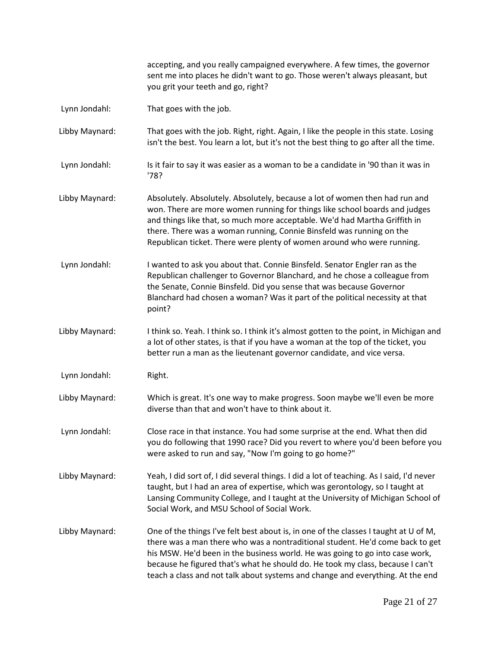accepting, and you really campaigned everywhere. A few times, the governor sent me into places he didn't want to go. Those weren't always pleasant, but you grit your teeth and go, right?

- [Lynn Jondahl:](https://www.rev.com/transcript-editor/Edit?token=qtgq5DLcwi5E-_zk4IkEL2NTULftSMC8hwlRX5AFxARbbEmmTrgiYNLn-dNKDuUotY287fEngTUzSaoEx8os96psvhI&loadFrom=DocumentSpeakerNameDeeplink&ts=139.1) That goes with the job.
- [Libby Maynard:](https://www.rev.com/transcript-editor/Edit?token=WrL-AAQH6craARGZhgJAirmLWO38U8RfqA7fZ59RHlXi4xz_9ETdablH38XnjuDYyrFh1wBUiMHSl2uRicddi_T2mg4&loadFrom=DocumentSpeakerNameDeeplink&ts=139.78) That goes with the job. Right, right. Again, I like the people in this state. Losing isn't the best. You learn a lot, but it's not the best thing to go after all the time.
- [Lynn Jondahl:](https://www.rev.com/transcript-editor/Edit?token=yeMCsQTvgXWxJS0uha-a93HKTt85le0enkidJ8T-g25lKDtM11ZFz_Dfnd5a9goj1f_6I9TK8CYUArwNnpJy3uDY28k&loadFrom=DocumentSpeakerNameDeeplink&ts=157.79) Is it fair to say it was easier as a woman to be a candidate in '90 than it was in '78?
- [Libby Maynard:](https://www.rev.com/transcript-editor/Edit?token=s6a7VMQGN0T0AZohRG4KrnhvWLarScoUK9eQ_tS93yykFd8HVOFH0JgaMB9bs--SL8mMgr9yGDnb7BI3thMw20j7E5M&loadFrom=DocumentSpeakerNameDeeplink&ts=160.59) Absolutely. Absolutely. Absolutely, because a lot of women then had run and won. There are more women running for things like school boards and judges and things like that, so much more acceptable. We'd had Martha Griffith in there. There was a woman running, Connie Binsfeld was running on the Republican ticket. There were plenty of women around who were running.
- [Lynn Jondahl:](https://www.rev.com/transcript-editor/Edit?token=52aL1dVy__XpYNqzDSO8lCFMyxq-h3bhekzLiR45dffloLkgjxsOJME7K3e6rsr7DNYD-L5liS4GmiSNYS-YxynbWBc&loadFrom=DocumentSpeakerNameDeeplink&ts=183.32) I wanted to ask you about that. Connie Binsfeld. Senator Engler ran as the Republican challenger to Governor Blanchard, and he chose a colleague from the Senate, Connie Binsfeld. Did you sense that was because Governor Blanchard had chosen a woman? Was it part of the political necessity at that point?
- [Libby Maynard:](https://www.rev.com/transcript-editor/Edit?token=ilIrlzxSJ7ZkHsQsw66qdzrkdL6RazuCjqR7znXDrnX2OGbBW5fJm7-pLPbf5agTEXgi2aSbCFvAqMnbwvA4zwO2QIQ&loadFrom=DocumentSpeakerNameDeeplink&ts=211.29) I think so. Yeah. I think so. I think it's almost gotten to the point, in Michigan and a lot of other states, is that if you have a woman at the top of the ticket, you better run a man as the lieutenant governor candidate, and vice versa.
- [Lynn Jondahl:](https://www.rev.com/transcript-editor/Edit?token=2TL_hI9qcERyNGwc6REZguKjGsfWoJQCZvcTUU_EFg62h2DHRpqgUbPmJySnofcBk8h9z3QaGsVCZu4F_7z-KmN3lSM&loadFrom=DocumentSpeakerNameDeeplink&ts=226.02) Right.
- [Libby Maynard:](https://www.rev.com/transcript-editor/Edit?token=r_qchSeajGO550_KacztPYUlL5TduudzqZb1zYFU9rTExkgr81ap-xIP_Owzz6-RtQC_d4GbYIepLTKMNr0F7pDTuBA&loadFrom=DocumentSpeakerNameDeeplink&ts=226.55) Which is great. It's one way to make progress. Soon maybe we'll even be more diverse than that and won't have to think about it.
- [Lynn Jondahl:](https://www.rev.com/transcript-editor/Edit?token=Mq66oMdhiBo99LBRDMzJF1DCK1Ki7k1rmyOzPtDrrCR_-qNPbbxa2k6aokRNwzTWTos3WWQAPQjrKAk1_zj2petUgH0&loadFrom=DocumentSpeakerNameDeeplink&ts=235.6) Close race in that instance. You had some surprise at the end. What then did you do following that 1990 race? Did you revert to where you'd been before you were asked to run and say, "Now I'm going to go home?"
- [Libby Maynard:](https://www.rev.com/transcript-editor/Edit?token=gtfVaxeswG2UvVizaIKGixSUrWpYoQiSns88cyLI-P-eUCW7Njg0MplGl4Mh7G9Unv4_yjpMtG5aFWsMkcxXa93M0yg&loadFrom=DocumentSpeakerNameDeeplink&ts=257.09) Yeah, I did sort of, I did several things. I did a lot of teaching. As I said, I'd never taught, but I had an area of expertise, which was gerontology, so I taught at Lansing Community College, and I taught at the University of Michigan School of Social Work, and MSU School of Social Work.
- [Libby Maynard:](https://www.rev.com/transcript-editor/Edit?token=lNIZuxbzxwfUFBxkN2BJNNxaX4H-uQ2oae_1Xbr3TDlsvtbuKeZkNjCI8Xps7ZxhBmoGLNJaI41Hu8uRZroocUJcoaA&loadFrom=DocumentSpeakerNameDeeplink&ts=279.2) One of the things I've felt best about is, in one of the classes I taught at U of M, there was a man there who was a nontraditional student. He'd come back to get his MSW. He'd been in the business world. He was going to go into case work, because he figured that's what he should do. He took my class, because I can't teach a class and not talk about systems and change and everything. At the end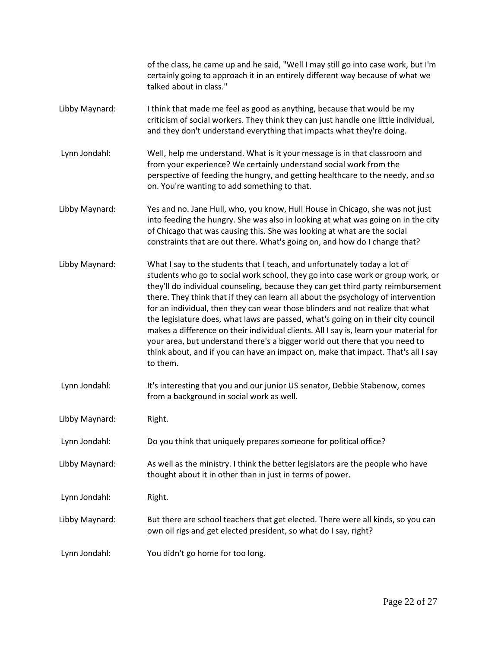|                | of the class, he came up and he said, "Well I may still go into case work, but I'm<br>certainly going to approach it in an entirely different way because of what we<br>talked about in class."                                                                                                                                                                                                                                                                                                                                                                                                                                                                                                                                                                                       |
|----------------|---------------------------------------------------------------------------------------------------------------------------------------------------------------------------------------------------------------------------------------------------------------------------------------------------------------------------------------------------------------------------------------------------------------------------------------------------------------------------------------------------------------------------------------------------------------------------------------------------------------------------------------------------------------------------------------------------------------------------------------------------------------------------------------|
| Libby Maynard: | I think that made me feel as good as anything, because that would be my<br>criticism of social workers. They think they can just handle one little individual,<br>and they don't understand everything that impacts what they're doing.                                                                                                                                                                                                                                                                                                                                                                                                                                                                                                                                               |
| Lynn Jondahl:  | Well, help me understand. What is it your message is in that classroom and<br>from your experience? We certainly understand social work from the<br>perspective of feeding the hungry, and getting healthcare to the needy, and so<br>on. You're wanting to add something to that.                                                                                                                                                                                                                                                                                                                                                                                                                                                                                                    |
| Libby Maynard: | Yes and no. Jane Hull, who, you know, Hull House in Chicago, she was not just<br>into feeding the hungry. She was also in looking at what was going on in the city<br>of Chicago that was causing this. She was looking at what are the social<br>constraints that are out there. What's going on, and how do I change that?                                                                                                                                                                                                                                                                                                                                                                                                                                                          |
| Libby Maynard: | What I say to the students that I teach, and unfortunately today a lot of<br>students who go to social work school, they go into case work or group work, or<br>they'll do individual counseling, because they can get third party reimbursement<br>there. They think that if they can learn all about the psychology of intervention<br>for an individual, then they can wear those blinders and not realize that what<br>the legislature does, what laws are passed, what's going on in their city council<br>makes a difference on their individual clients. All I say is, learn your material for<br>your area, but understand there's a bigger world out there that you need to<br>think about, and if you can have an impact on, make that impact. That's all I say<br>to them. |
| Lynn Jondahl:  | It's interesting that you and our junior US senator, Debbie Stabenow, comes<br>from a background in social work as well.                                                                                                                                                                                                                                                                                                                                                                                                                                                                                                                                                                                                                                                              |
| Libby Maynard: | Right.                                                                                                                                                                                                                                                                                                                                                                                                                                                                                                                                                                                                                                                                                                                                                                                |
| Lynn Jondahl:  | Do you think that uniquely prepares someone for political office?                                                                                                                                                                                                                                                                                                                                                                                                                                                                                                                                                                                                                                                                                                                     |
| Libby Maynard: | As well as the ministry. I think the better legislators are the people who have<br>thought about it in other than in just in terms of power.                                                                                                                                                                                                                                                                                                                                                                                                                                                                                                                                                                                                                                          |
| Lynn Jondahl:  | Right.                                                                                                                                                                                                                                                                                                                                                                                                                                                                                                                                                                                                                                                                                                                                                                                |
| Libby Maynard: | But there are school teachers that get elected. There were all kinds, so you can<br>own oil rigs and get elected president, so what do I say, right?                                                                                                                                                                                                                                                                                                                                                                                                                                                                                                                                                                                                                                  |
| Lynn Jondahl:  | You didn't go home for too long.                                                                                                                                                                                                                                                                                                                                                                                                                                                                                                                                                                                                                                                                                                                                                      |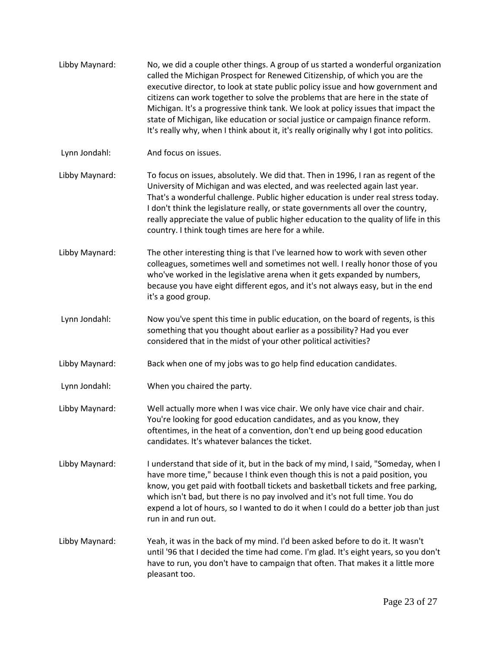[Libby Maynard:](https://www.rev.com/transcript-editor/Edit?token=DU1DBGe0tiG4dAK9y9Gsi2dJF4nd9pSZU6RJgPj2a6lo9QT0sfadSlnKmGe6rk8i_MFP7E3SeodgDviwMzhBnRn_-0Q&loadFrom=DocumentSpeakerNameDeeplink&ts=482.06) No, we did a couple other things. A group of us started a wonderful organization called the Michigan Prospect for Renewed Citizenship, of which you are the executive director, to look at state public policy issue and how government and citizens can work together to solve the problems that are here in the state of Michigan. It's a progressive think tank. We look at policy issues that impact the state of Michigan, like education or social justice or campaign finance reform. It's really why, when I think about it, it's really originally why I got into politics. [Lynn Jondahl:](https://www.rev.com/transcript-editor/Edit?token=udmBNB_za7NuK50A2WccjvbAwam0e3WWfsOTadYZmN0ZRufWC9_xyFIorGjdUemuGnnwuJKQb_M7GS2uDjqs1j4WNmI&loadFrom=DocumentSpeakerNameDeeplink&ts=520.13) And focus on issues. [Libby Maynard:](https://www.rev.com/transcript-editor/Edit?token=jhRxd6rwFYtfVDZNVUzylNhDFLKgiqN3JZ9_eFDeIxifQDetoeWTcJV5tVcDzBlEzEI_VdSI9ym9NaUDFlinqCAHQCA&loadFrom=DocumentSpeakerNameDeeplink&ts=521.23) To focus on issues, absolutely. We did that. Then in 1996, I ran as regent of the University of Michigan and was elected, and was reelected again last year. That's a wonderful challenge. Public higher education is under real stress today. I don't think the legislature really, or state governments all over the country, really appreciate the value of public higher education to the quality of life in this country. I think tough times are here for a while. [Libby Maynard:](https://www.rev.com/transcript-editor/Edit?token=pUsRol5cnJnGqF8nW2jg1IiJNM_sHjiR4Sdgu_j78zcda_O9lQ0NBdqpvwMbpwQfobEfNuEpTSx3B52MGG71P-QMyys&loadFrom=DocumentSpeakerNameDeeplink&ts=555.66) The other interesting thing is that I've learned how to work with seven other colleagues, sometimes well and sometimes not well. I really honor those of you who've worked in the legislative arena when it gets expanded by numbers, because you have eight different egos, and it's not always easy, but in the end it's a good group. [Lynn Jondahl:](https://www.rev.com/transcript-editor/Edit?token=RsD-5DOYf4wWv1tWwp9zLfleQZvmrM6kLRWc-hxS91IT-qFST6mRKMmNa7mstrNACrr1lgTJdRSPS9Jo8VfUxuKbr3A&loadFrom=DocumentSpeakerNameDeeplink&ts=582.25) Now you've spent this time in public education, on the board of regents, is this something that you thought about earlier as a possibility? Had you ever considered that in the midst of your other political activities? [Libby Maynard:](https://www.rev.com/transcript-editor/Edit?token=AUoqQiQ1aR_P4xvIRVq3UxBUceYmV9j8FAxo0-XkimzEqnwtlgldHs1u7tYblqXLVmha6_EHx7Q6OkSsv6sRmTETrTU&loadFrom=DocumentSpeakerNameDeeplink&ts=600.26) Back when one of my jobs was to go help find education candidates. [Lynn Jondahl:](https://www.rev.com/transcript-editor/Edit?token=LIdM2prw_G8xruYshDRHGM4yvQi4SnOtCpbqsCOqJPCgrC4pLieEAApoi0N8F0VZN_1LTuq1w1LU2Kbi_0DbRBo8tWg&loadFrom=DocumentSpeakerNameDeeplink&ts=607.75) When you chaired the party. [Libby Maynard:](https://www.rev.com/transcript-editor/Edit?token=mw8e1uDS18muyKGVE5pFIZSsLnuDvciVG7Yuk23SzBzr2cpSj1hwwwWEE1KmyLFoOjavOgJuPh9QOy3SgN1fpjEzldQ&loadFrom=DocumentSpeakerNameDeeplink&ts=608.02) Well actually more when I was vice chair. We only have vice chair and chair. You're looking for good education candidates, and as you know, they oftentimes, in the heat of a convention, don't end up being good education candidates. It's whatever balances the ticket. [Libby Maynard:](https://www.rev.com/transcript-editor/Edit?token=3ULZCy60-CLyX1hfl3D6ninSDUOavr8XQljEMf_Rxa_VOXxEP1xUkM7tTNWIcp4KbHrdO2hNq3m-Sh33qPfsSXK1N9Q&loadFrom=DocumentSpeakerNameDeeplink&ts=622) I understand that side of it, but in the back of my mind, I said, "Someday, when I have more time," because I think even though this is not a paid position, you know, you get paid with football tickets and basketball tickets and free parking, which isn't bad, but there is no pay involved and it's not full time. You do expend a lot of hours, so I wanted to do it when I could do a better job than just run in and run out. [Libby Maynard:](https://www.rev.com/transcript-editor/Edit?token=dWozg80ilO9f3RMNSp_80SaDiM0JuO3UK9UglKlpxMJXDxMIYLycWGKtmMxAMt66h-vxtxEEkhCJcJL5nHDhEGnp6Po&loadFrom=DocumentSpeakerNameDeeplink&ts=651.39) Yeah, it was in the back of my mind. I'd been asked before to do it. It wasn't until '96 that I decided the time had come. I'm glad. It's eight years, so you don't have to run, you don't have to campaign that often. That makes it a little more pleasant too.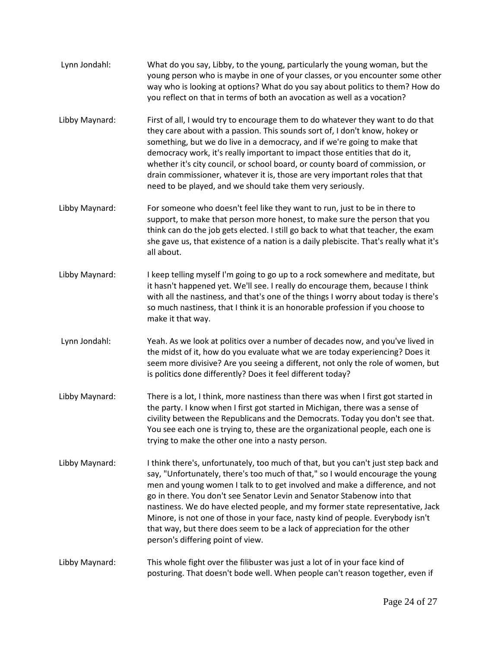[Lynn Jondahl:](https://www.rev.com/transcript-editor/Edit?token=J6gGvuCv3AD-i-r8iQNSL8h6Etp6lU9GrZc8mw2BYeElSNG4Af0WMwTQ9UY61XPj1XEPosGG1KlbW66J3hN0uTwVgTI&loadFrom=DocumentSpeakerNameDeeplink&ts=669.28) What do you say, Libby, to the young, particularly the young woman, but the young person who is maybe in one of your classes, or you encounter some other way who is looking at options? What do you say about politics to them? How do you reflect on that in terms of both an avocation as well as a vocation? [Libby Maynard:](https://www.rev.com/transcript-editor/Edit?token=egEQL7SI5AiBVK38D1sVQ2BfmaAxpVzgzzQSEiwrcOgho_yjv4en-nVxUCYQOrmYA_eCo0HmIYikhQac87VchqEGkjg&loadFrom=DocumentSpeakerNameDeeplink&ts=698.27) First of all, I would try to encourage them to do whatever they want to do that they care about with a passion. This sounds sort of, I don't know, hokey or something, but we do live in a democracy, and if we're going to make that democracy work, it's really important to impact those entities that do it, whether it's city council, or school board, or county board of commission, or drain commissioner, whatever it is, those are very important roles that that need to be played, and we should take them very seriously. [Libby Maynard:](https://www.rev.com/transcript-editor/Edit?token=qqSDGxnXJPYXv1Lml90zxkQbt5Dk4fPHdglg1ltz-4h-_sUjDhJRShOUe76jYVTQCuUPn6V6AtjsvtMY3c84W9EJE5g&loadFrom=DocumentSpeakerNameDeeplink&ts=734.49) For someone who doesn't feel like they want to run, just to be in there to support, to make that person more honest, to make sure the person that you think can do the job gets elected. I still go back to what that teacher, the exam she gave us, that existence of a nation is a daily plebiscite. That's really what it's all about. [Libby Maynard:](https://www.rev.com/transcript-editor/Edit?token=5sIvE60_-BV6nlJn8OrE1mhWtWz6oMIZbpFODiyzkXdR2f_YbdvrfgfiE5zJvXg5jsKdHKp4jfeDztxWHPD9Cll6kqQ&loadFrom=DocumentSpeakerNameDeeplink&ts=757.39) I keep telling myself I'm going to go up to a rock somewhere and meditate, but it hasn't happened yet. We'll see. I really do encourage them, because I think with all the nastiness, and that's one of the things I worry about today is there's so much nastiness, that I think it is an honorable profession if you choose to make it that way. [Lynn Jondahl:](https://www.rev.com/transcript-editor/Edit?token=smN1ttKC0s7nxc5M8Ryb_rGoJCCnvtLmm9gfnTTR1h2p-i0Ag0zyVlKgDZXjDviT1fbrwzDXTW-uHgGDSXUzmHN6Cec&loadFrom=DocumentSpeakerNameDeeplink&ts=776.9) Yeah. As we look at politics over a number of decades now, and you've lived in the midst of it, how do you evaluate what we are today experiencing? Does it seem more divisive? Are you seeing a different, not only the role of women, but is politics done differently? Does it feel different today? [Libby Maynard:](https://www.rev.com/transcript-editor/Edit?token=Yyh5q3_VfDIXP2UONp0RQExGFj7c6Kw-NilWk9Db0vDWrL8zYuuqq1YnByEKpLX1xgz3SG72tKUxXrdoxLNVVap6Pew&loadFrom=DocumentSpeakerNameDeeplink&ts=805.4) There is a lot, I think, more nastiness than there was when I first got started in the party. I know when I first got started in Michigan, there was a sense of civility between the Republicans and the Democrats. Today you don't see that. You see each one is trying to, these are the organizational people, each one is trying to make the other one into a nasty person. [Libby Maynard:](https://www.rev.com/transcript-editor/Edit?token=xSjaWWF7aIP6KbnhYor-F9VLNRqqgnmJtdkzptJjjqr--l2X8khWqFeKPFpQLKp9vcjq6kHOVpSNKq5cjU3Q7VYmdc4&loadFrom=DocumentSpeakerNameDeeplink&ts=833.42) I think there's, unfortunately, too much of that, but you can't just step back and say, "Unfortunately, there's too much of that," so I would encourage the young men and young women I talk to to get involved and make a difference, and not go in there. You don't see Senator Levin and Senator Stabenow into that nastiness. We do have elected people, and my former state representative, Jack Minore, is not one of those in your face, nasty kind of people. Everybody isn't that way, but there does seem to be a lack of appreciation for the other person's differing point of view. [Libby Maynard:](https://www.rev.com/transcript-editor/Edit?token=2eADJ5zjeBswPZoyJXbSUK58d3FWiLIchlmKw4i2j3tKO3X8JJLmddwnM7_OWVoyHrCquixxeSnhEuqECofEgZ1FHW8&loadFrom=DocumentSpeakerNameDeeplink&ts=876.01) This whole fight over the filibuster was just a lot of in your face kind of posturing. That doesn't bode well. When people can't reason together, even if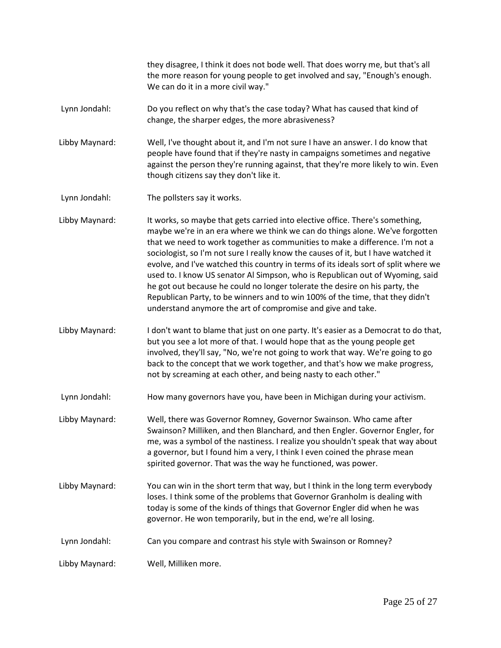they disagree, I think it does not bode well. That does worry me, but that's all the more reason for young people to get involved and say, "Enough's enough. We can do it in a more civil way."

- [Lynn Jondahl:](https://www.rev.com/transcript-editor/Edit?token=64_x8gj3Vr_cZw1cmd9k4C_pvWd-18eF_B6Y3jrzpx_5XVlwfzi_EBbNqxFFQqOC__a_IML6aclmOpU_gAqNKJShGQ4&loadFrom=DocumentSpeakerNameDeeplink&ts=901.84) Do you reflect on why that's the case today? What has caused that kind of change, the sharper edges, the more abrasiveness?
- [Libby Maynard:](https://www.rev.com/transcript-editor/Edit?token=HRqHqEV-WP3N6uuMk6v9bQw6YvzwjkFE3TNnQmM3-kPKh_PLTM4fBhW20u2z7jVEqUKJo33cnH6W_yFkaS-b65VSnhM&loadFrom=DocumentSpeakerNameDeeplink&ts=913.71) Well, I've thought about it, and I'm not sure I have an answer. I do know that people have found that if they're nasty in campaigns sometimes and negative against the person they're running against, that they're more likely to win. Even though citizens say they don't like it.
- [Lynn Jondahl:](https://www.rev.com/transcript-editor/Edit?token=2BH96t6uRqxJleLv2dQcZOOwvB0gHmhx2pv94CIJj59adojkC4bZd4Jg3bNWGKQIHXSQMk9tRrMrHjOSYSipIUFGimk&loadFrom=DocumentSpeakerNameDeeplink&ts=929.87) The pollsters say it works.

[Libby Maynard:](https://www.rev.com/transcript-editor/Edit?token=68de7x2UxeavJkw20Snqi-1qgfQ84YljXn7Ak_1NJmsgGaU3_bTG3TGZ3JyvUKeZF6mXMRuDGa-POxOaMDEswpzjRK8&loadFrom=DocumentSpeakerNameDeeplink&ts=932.08) It works, so maybe that gets carried into elective office. There's something, maybe we're in an era where we think we can do things alone. We've forgotten that we need to work together as communities to make a difference. I'm not a sociologist, so I'm not sure I really know the causes of it, but I have watched it evolve, and I've watched this country in terms of its ideals sort of split where we used to. I know US senator Al Simpson, who is Republican out of Wyoming, said he got out because he could no longer tolerate the desire on his party, the Republican Party, to be winners and to win 100% of the time, that they didn't understand anymore the art of compromise and give and take.

- [Libby Maynard:](https://www.rev.com/transcript-editor/Edit?token=mit00WxwQES3MombpbhnNaydr6IDyi9ETY6Eixc2g0miBk83qKBAUGDbg-hyaSoJZG9kUctup5HcanIi6rOPkaxOmCU&loadFrom=DocumentSpeakerNameDeeplink&ts=984.36) I don't want to blame that just on one party. It's easier as a Democrat to do that, but you see a lot more of that. I would hope that as the young people get involved, they'll say, "No, we're not going to work that way. We're going to go back to the concept that we work together, and that's how we make progress, not by screaming at each other, and being nasty to each other."
- [Lynn Jondahl:](https://www.rev.com/transcript-editor/Edit?token=wTJIbvjbSzrxLbc4cR5RJqvyVgg4tKhl9A7WAEsHFeqj2UErMUnrQJHjk7NIHJ_IJyQmwpfQPEvZUj10Wc5pwpq9lBs&loadFrom=DocumentSpeakerNameDeeplink&ts=1011.61) How many governors have you, have been in Michigan during your activism.
- [Libby Maynard:](https://www.rev.com/transcript-editor/Edit?token=GgkVJPWqQVu39f1HORDAhOUY9LJq407FabC_hgoQeK9VL86hsK9vCbXx0ZQbEMxa6p6-zkNOQhTKlJIQXEGcYxKaXBo&loadFrom=DocumentSpeakerNameDeeplink&ts=1020.64) Well, there was Governor Romney, Governor Swainson. Who came after Swainson? Milliken, and then Blanchard, and then Engler. Governor Engler, for me, was a symbol of the nastiness. I realize you shouldn't speak that way about a governor, but I found him a very, I think I even coined the phrase mean spirited governor. That was the way he functioned, was power.
- [Libby Maynard:](https://www.rev.com/transcript-editor/Edit?token=3h9QI7bWXRuML7BaEfrBNZdGanv7kkIiM9HggW1FNRED-fzmRoemaRi0dB5lN8URx4k2S7Yn9hqvbFNMpyqU3BFUHIs&loadFrom=DocumentSpeakerNameDeeplink&ts=1051.35) You can win in the short term that way, but I think in the long term everybody loses. I think some of the problems that Governor Granholm is dealing with today is some of the kinds of things that Governor Engler did when he was governor. He won temporarily, but in the end, we're all losing.
- [Lynn Jondahl:](https://www.rev.com/transcript-editor/Edit?token=_2M0CZ1oCus3WahtpENnc0mBbS3krfj51ts48HGsYDKl-BogCWzVAPyFe8LY5al2cuFkmAcfJPbl050XnXd5X8305pk&loadFrom=DocumentSpeakerNameDeeplink&ts=1070.96) Can you compare and contrast his style with Swainson or Romney?

[Libby Maynard:](https://www.rev.com/transcript-editor/Edit?token=AwzyPdeniF0nphpK2wjfc0QsuN7symlrqsEXPaNx3eXQ0xi6DtfSiCqo0NDWgCpd3jX7JAnmX_JDXx_pkd2PdVwjlHs&loadFrom=DocumentSpeakerNameDeeplink&ts=1078.31) Well, Milliken more.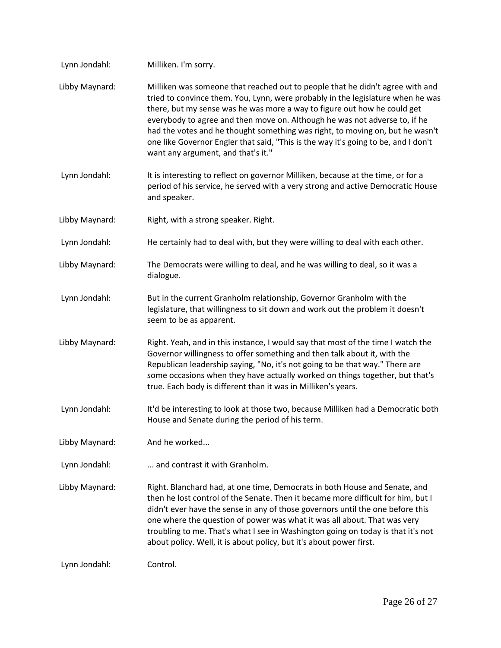| Lynn Jondahl:  | Milliken. I'm sorry.                                                                                                                                                                                                                                                                                                                                                                                                                                                                                                                    |
|----------------|-----------------------------------------------------------------------------------------------------------------------------------------------------------------------------------------------------------------------------------------------------------------------------------------------------------------------------------------------------------------------------------------------------------------------------------------------------------------------------------------------------------------------------------------|
| Libby Maynard: | Milliken was someone that reached out to people that he didn't agree with and<br>tried to convince them. You, Lynn, were probably in the legislature when he was<br>there, but my sense was he was more a way to figure out how he could get<br>everybody to agree and then move on. Although he was not adverse to, if he<br>had the votes and he thought something was right, to moving on, but he wasn't<br>one like Governor Engler that said, "This is the way it's going to be, and I don't<br>want any argument, and that's it." |
| Lynn Jondahl:  | It is interesting to reflect on governor Milliken, because at the time, or for a<br>period of his service, he served with a very strong and active Democratic House<br>and speaker.                                                                                                                                                                                                                                                                                                                                                     |
| Libby Maynard: | Right, with a strong speaker. Right.                                                                                                                                                                                                                                                                                                                                                                                                                                                                                                    |
| Lynn Jondahl:  | He certainly had to deal with, but they were willing to deal with each other.                                                                                                                                                                                                                                                                                                                                                                                                                                                           |
| Libby Maynard: | The Democrats were willing to deal, and he was willing to deal, so it was a<br>dialogue.                                                                                                                                                                                                                                                                                                                                                                                                                                                |
| Lynn Jondahl:  | But in the current Granholm relationship, Governor Granholm with the<br>legislature, that willingness to sit down and work out the problem it doesn't<br>seem to be as apparent.                                                                                                                                                                                                                                                                                                                                                        |
| Libby Maynard: | Right. Yeah, and in this instance, I would say that most of the time I watch the<br>Governor willingness to offer something and then talk about it, with the<br>Republican leadership saying, "No, it's not going to be that way." There are<br>some occasions when they have actually worked on things together, but that's<br>true. Each body is different than it was in Milliken's years.                                                                                                                                           |
| Lynn Jondahl:  | It'd be interesting to look at those two, because Milliken had a Democratic both<br>House and Senate during the period of his term.                                                                                                                                                                                                                                                                                                                                                                                                     |
| Libby Maynard: | And he worked                                                                                                                                                                                                                                                                                                                                                                                                                                                                                                                           |
| Lynn Jondahl:  | and contrast it with Granholm.                                                                                                                                                                                                                                                                                                                                                                                                                                                                                                          |
| Libby Maynard: | Right. Blanchard had, at one time, Democrats in both House and Senate, and<br>then he lost control of the Senate. Then it became more difficult for him, but I<br>didn't ever have the sense in any of those governors until the one before this<br>one where the question of power was what it was all about. That was very<br>troubling to me. That's what I see in Washington going on today is that it's not<br>about policy. Well, it is about policy, but it's about power first.                                                 |
| Lynn Jondahl:  | Control.                                                                                                                                                                                                                                                                                                                                                                                                                                                                                                                                |